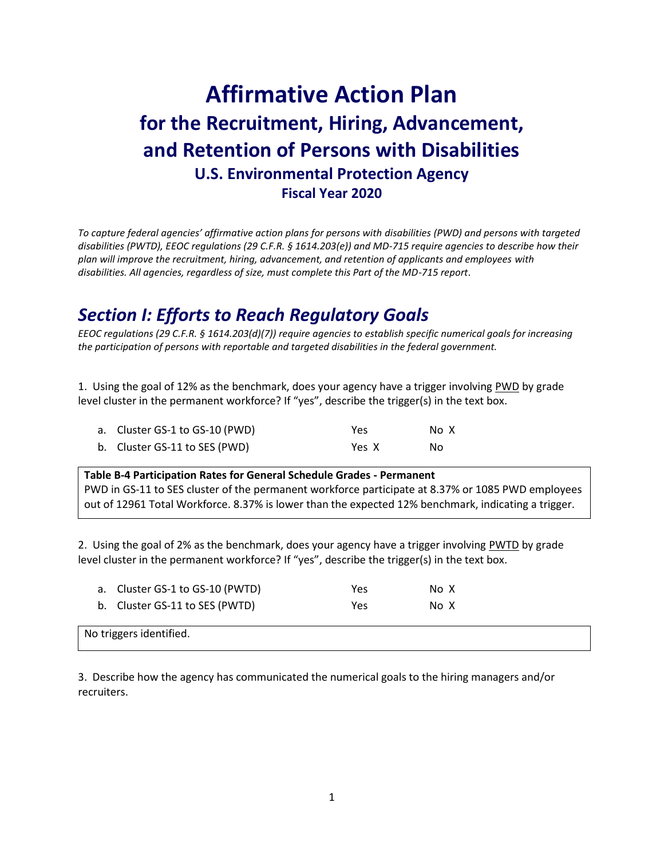# **Affirmative Action Plan for the Recruitment, Hiring, Advancement, and Retention of Persons with Disabilities U.S. Environmental Protection Agency Fiscal Year 2020**

*To capture federal agencies' affirmative action plans for persons with disabilities (PWD) and persons with targeted disabilities (PWTD), EEOC regulations (29 C.F.R. § 1614.203(e)) and MD-715 require agencies to describe how their plan will improve the recruitment, hiring, advancement, and retention of applicants and employees with disabilities. All agencies, regardless of size, must complete this Part of the MD-715 report*.

# *Section I: Efforts to Reach Regulatory Goals*

*EEOC regulations (29 C.F.R. § 1614.203(d)(7)) require agencies to establish specific numerical goals for increasing the participation of persons with reportable and targeted disabilities in the federal government.*

1. Using the goal of 12% as the benchmark, does your agency have a trigger involving PWD by grade level cluster in the permanent workforce? If "yes", describe the trigger(s) in the text box.

| a. Cluster GS-1 to GS-10 (PWD) | Yes.  | No X |
|--------------------------------|-------|------|
| b. Cluster GS-11 to SES (PWD)  | Yes X | No.  |

#### **Table B-4 Participation Rates for General Schedule Grades - Permanent** PWD in GS-11 to SES cluster of the permanent workforce participate at 8.37% or 1085 PWD employees

out of 12961 Total Workforce. 8.37% is lower than the expected 12% benchmark, indicating a trigger.

2. Using the goal of 2% as the benchmark, does your agency have a trigger involving PWTD by grade level cluster in the permanent workforce? If "yes", describe the trigger(s) in the text box.

| a. Cluster GS-1 to GS-10 (PWTD) | Yes | No X |
|---------------------------------|-----|------|
| b. Cluster GS-11 to SES (PWTD)  | Yes | No X |
| No triggers identified.         |     |      |

3. Describe how the agency has communicated the numerical goals to the hiring managers and/or recruiters.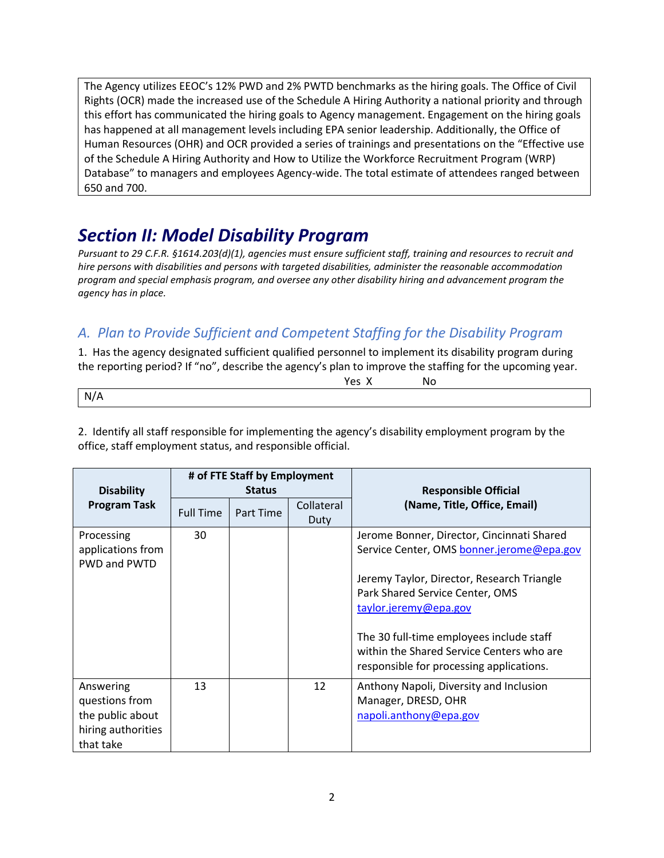The Agency utilizes EEOC's 12% PWD and 2% PWTD benchmarks as the hiring goals. The Office of Civil Rights (OCR) made the increased use of the Schedule A Hiring Authority a national priority and through this effort has communicated the hiring goals to Agency management. Engagement on the hiring goals has happened at all management levels including EPA senior leadership. Additionally, the Office of Human Resources (OHR) and OCR provided a series of trainings and presentations on the "Effective use of the Schedule A Hiring Authority and How to Utilize the Workforce Recruitment Program (WRP) Database" to managers and employees Agency-wide. The total estimate of attendees ranged between 650 and 700.

# *Section II: Model Disability Program*

*Pursuant to 29 C.F.R. §1614.203(d)(1), agencies must ensure sufficient staff, training and resources to recruit and hire persons with disabilities and persons with targeted disabilities, administer the reasonable accommodation program and special emphasis program, and oversee any other disability hiring and advancement program the agency has in place.*

# *A. Plan to Provide Sufficient and Competent Staffing for the Disability Program*

1. Has the agency designated sufficient qualified personnel to implement its disability program during the reporting period? If "no", describe the agency's plan to improve the staffing for the upcoming year.

| $\sim$ | $\sim$ |
|--------|--------|
|        |        |

2. Identify all staff responsible for implementing the agency's disability employment program by the office, staff employment status, and responsible official.

| <b>Disability</b>                                                                  | # of FTE Staff by Employment<br><b>Status</b> |           |                    | <b>Responsible Official</b>                                                                                                                                                                       |  |
|------------------------------------------------------------------------------------|-----------------------------------------------|-----------|--------------------|---------------------------------------------------------------------------------------------------------------------------------------------------------------------------------------------------|--|
| <b>Program Task</b>                                                                | <b>Full Time</b>                              | Part Time | Collateral<br>Duty | (Name, Title, Office, Email)                                                                                                                                                                      |  |
| Processing<br>applications from<br><b>PWD and PWTD</b>                             | 30                                            |           |                    | Jerome Bonner, Director, Cincinnati Shared<br>Service Center, OMS bonner.jerome@epa.gov<br>Jeremy Taylor, Director, Research Triangle<br>Park Shared Service Center, OMS<br>taylor.jeremy@epa.gov |  |
|                                                                                    |                                               |           |                    | The 30 full-time employees include staff<br>within the Shared Service Centers who are<br>responsible for processing applications.                                                                 |  |
| Answering<br>questions from<br>the public about<br>hiring authorities<br>that take | 13                                            |           | 12                 | Anthony Napoli, Diversity and Inclusion<br>Manager, DRESD, OHR<br>napoli.anthony@epa.gov                                                                                                          |  |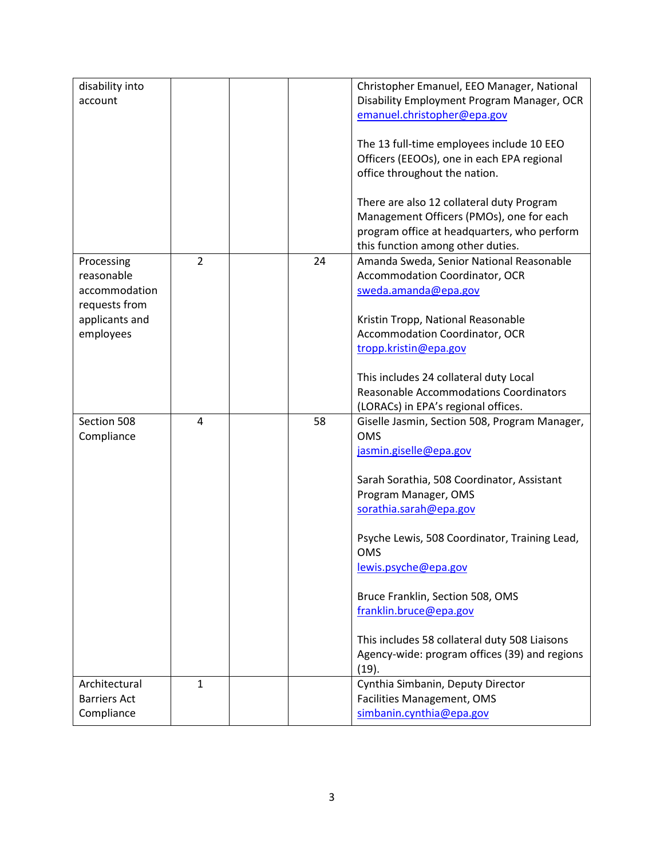| disability into     |                |                                            | Christopher Emanuel, EEO Manager, National    |
|---------------------|----------------|--------------------------------------------|-----------------------------------------------|
| account             |                | Disability Employment Program Manager, OCR |                                               |
|                     |                | emanuel.christopher@epa.gov                |                                               |
|                     |                |                                            |                                               |
|                     |                |                                            | The 13 full-time employees include 10 EEO     |
|                     |                |                                            | Officers (EEOOs), one in each EPA regional    |
|                     |                |                                            | office throughout the nation.                 |
|                     |                |                                            |                                               |
|                     |                |                                            | There are also 12 collateral duty Program     |
|                     |                |                                            | Management Officers (PMOs), one for each      |
|                     |                |                                            | program office at headquarters, who perform   |
|                     |                |                                            | this function among other duties.             |
| Processing          | $\overline{2}$ | 24                                         | Amanda Sweda, Senior National Reasonable      |
| reasonable          |                |                                            | <b>Accommodation Coordinator, OCR</b>         |
| accommodation       |                |                                            | sweda.amanda@epa.gov                          |
| requests from       |                |                                            |                                               |
| applicants and      |                |                                            | Kristin Tropp, National Reasonable            |
| employees           |                |                                            | Accommodation Coordinator, OCR                |
|                     |                |                                            | tropp.kristin@epa.gov                         |
|                     |                |                                            |                                               |
|                     |                |                                            | This includes 24 collateral duty Local        |
|                     |                |                                            | <b>Reasonable Accommodations Coordinators</b> |
|                     |                |                                            | (LORACs) in EPA's regional offices.           |
| Section 508         | 4              | 58                                         | Giselle Jasmin, Section 508, Program Manager, |
| Compliance          |                |                                            | <b>OMS</b>                                    |
|                     |                |                                            | jasmin.giselle@epa.gov                        |
|                     |                |                                            |                                               |
|                     |                |                                            | Sarah Sorathia, 508 Coordinator, Assistant    |
|                     |                |                                            | Program Manager, OMS                          |
|                     |                |                                            | sorathia.sarah@epa.gov                        |
|                     |                |                                            |                                               |
|                     |                |                                            | Psyche Lewis, 508 Coordinator, Training Lead, |
|                     |                |                                            | <b>OMS</b>                                    |
|                     |                |                                            | lewis.psyche@epa.gov                          |
|                     |                |                                            |                                               |
|                     |                |                                            | Bruce Franklin, Section 508, OMS              |
|                     |                |                                            | franklin.bruce@epa.gov                        |
|                     |                |                                            |                                               |
|                     |                |                                            | This includes 58 collateral duty 508 Liaisons |
|                     |                |                                            | Agency-wide: program offices (39) and regions |
|                     |                |                                            | (19).                                         |
| Architectural       | $\mathbf{1}$   |                                            | Cynthia Simbanin, Deputy Director             |
| <b>Barriers Act</b> |                |                                            | Facilities Management, OMS                    |
| Compliance          |                |                                            | simbanin.cynthia@epa.gov                      |
|                     |                |                                            |                                               |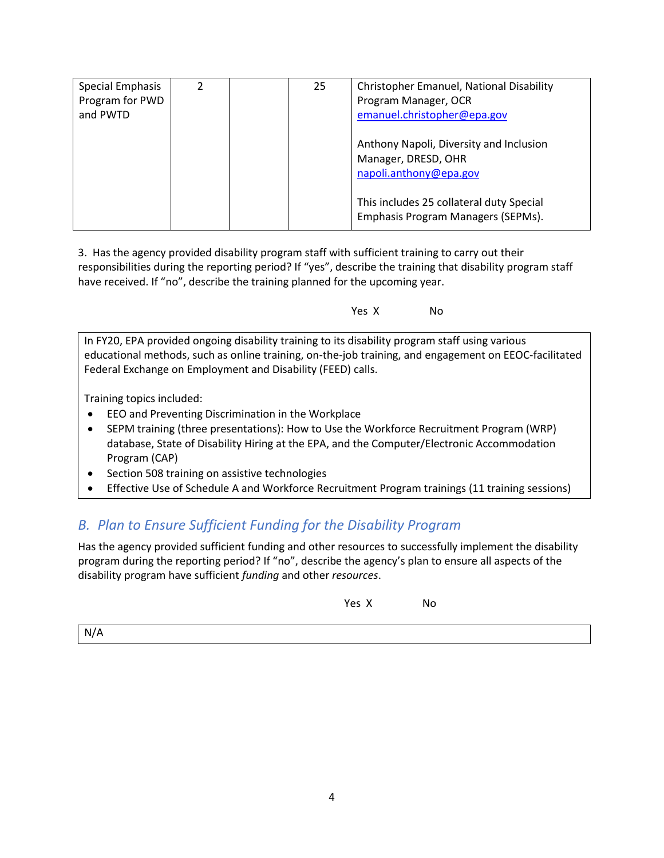| Special Emphasis | 2 | 25 | Christopher Emanuel, National Disability |
|------------------|---|----|------------------------------------------|
| Program for PWD  |   |    | Program Manager, OCR                     |
| and PWTD         |   |    | emanuel.christopher@epa.gov              |
|                  |   |    |                                          |
|                  |   |    | Anthony Napoli, Diversity and Inclusion  |
|                  |   |    | Manager, DRESD, OHR                      |
|                  |   |    | napoli.anthony@epa.gov                   |
|                  |   |    |                                          |
|                  |   |    | This includes 25 collateral duty Special |
|                  |   |    | Emphasis Program Managers (SEPMs).       |
|                  |   |    |                                          |

3. Has the agency provided disability program staff with sufficient training to carry out their responsibilities during the reporting period? If "yes", describe the training that disability program staff have received. If "no", describe the training planned for the upcoming year.

Yes X No

In FY20, EPA provided ongoing disability training to its disability program staff using various educational methods, such as online training, on-the-job training, and engagement on EEOC-facilitated Federal Exchange on Employment and Disability (FEED) calls.

Training topics included:

- EEO and Preventing Discrimination in the Workplace
- SEPM training (three presentations): How to Use the Workforce Recruitment Program (WRP) database, State of Disability Hiring at the EPA, and the Computer/Electronic Accommodation Program (CAP)
- Section 508 training on assistive technologies
- Effective Use of Schedule A and Workforce Recruitment Program trainings (11 training sessions)

# *B. Plan to Ensure Sufficient Funding for the Disability Program*

Has the agency provided sufficient funding and other resources to successfully implement the disability program during the reporting period? If "no", describe the agency's plan to ensure all aspects of the disability program have sufficient *funding* and other *resources*.

| Yes X |  | No. |
|-------|--|-----|
|-------|--|-----|

N/A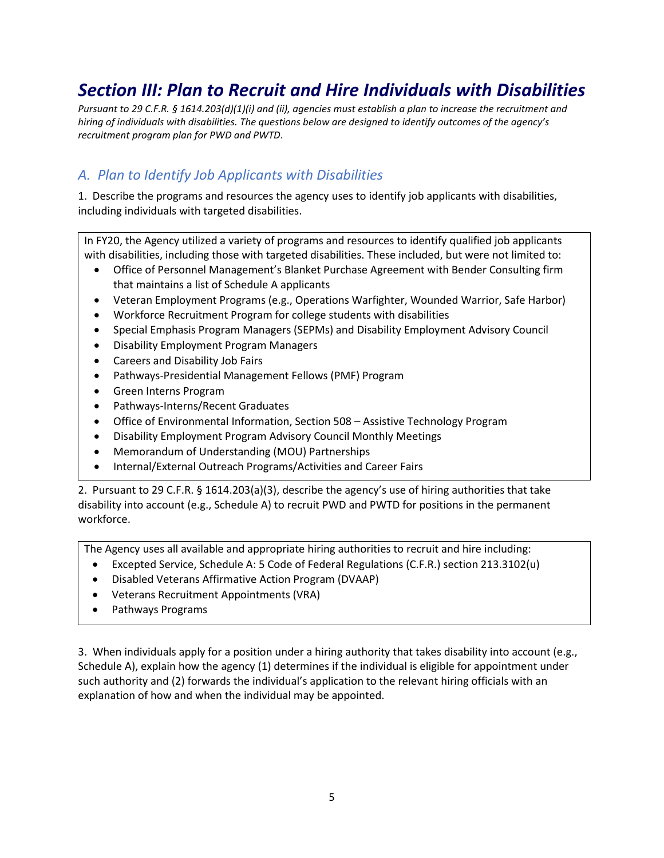# *Section III: Plan to Recruit and Hire Individuals with Disabilities*

*Pursuant to 29 C.F.R. § 1614.203(d)(1)(i) and (ii), agencies must establish a plan to increase the recruitment and hiring of individuals with disabilities. The questions below are designed to identify outcomes of the agency's recruitment program plan for PWD and PWTD*.

## *A. Plan to Identify Job Applicants with Disabilities*

1. Describe the programs and resources the agency uses to identify job applicants with disabilities, including individuals with targeted disabilities.

In FY20, the Agency utilized a variety of programs and resources to identify qualified job applicants with disabilities, including those with targeted disabilities. These included, but were not limited to:

- Office of Personnel Management's Blanket Purchase Agreement with Bender Consulting firm that maintains a list of Schedule A applicants
- Veteran Employment Programs (e.g., Operations Warfighter, Wounded Warrior, Safe Harbor)
- Workforce Recruitment Program for college students with disabilities
- Special Emphasis Program Managers (SEPMs) and Disability Employment Advisory Council
- Disability Employment Program Managers
- Careers and Disability Job Fairs
- Pathways-Presidential Management Fellows (PMF) Program
- Green Interns Program
- Pathways-Interns/Recent Graduates
- Office of Environmental Information, Section 508 Assistive Technology Program
- Disability Employment Program Advisory Council Monthly Meetings
- Memorandum of Understanding (MOU) Partnerships
- Internal/External Outreach Programs/Activities and Career Fairs

2. Pursuant to 29 C.F.R. § 1614.203(a)(3), describe the agency's use of hiring authorities that take disability into account (e.g., Schedule A) to recruit PWD and PWTD for positions in the permanent workforce.

The Agency uses all available and appropriate hiring authorities to recruit and hire including:

- Excepted Service, Schedule A: 5 Code of Federal Regulations (C.F.R.) section 213.3102(u)
- Disabled Veterans Affirmative Action Program (DVAAP)
- Veterans Recruitment Appointments (VRA)
- Pathways Programs

3. When individuals apply for a position under a hiring authority that takes disability into account (e.g., Schedule A), explain how the agency (1) determines if the individual is eligible for appointment under such authority and (2) forwards the individual's application to the relevant hiring officials with an explanation of how and when the individual may be appointed.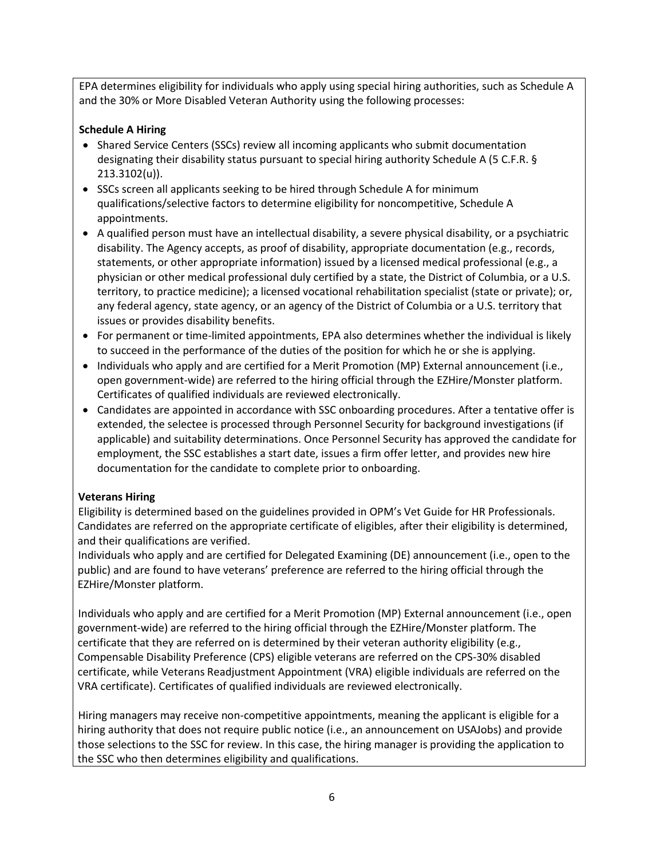EPA determines eligibility for individuals who apply using special hiring authorities, such as Schedule A and the 30% or More Disabled Veteran Authority using the following processes:

#### **Schedule A Hiring**

- Shared Service Centers (SSCs) review all incoming applicants who submit documentation designating their disability status pursuant to special hiring authority Schedule A (5 C.F.R. § 213.3102(u)).
- SSCs screen all applicants seeking to be hired through Schedule A for minimum qualifications/selective factors to determine eligibility for noncompetitive, Schedule A appointments.
- A qualified person must have an intellectual disability, a severe physical disability, or a psychiatric disability. The Agency accepts, as proof of disability, appropriate documentation (e.g., records, statements, or other appropriate information) issued by a licensed medical professional (e.g., a physician or other medical professional duly certified by a state, the District of Columbia, or a U.S. territory, to practice medicine); a licensed vocational rehabilitation specialist (state or private); or, any federal agency, state agency, or an agency of the District of Columbia or a U.S. territory that issues or provides disability benefits.
- For permanent or time-limited appointments, EPA also determines whether the individual is likely to succeed in the performance of the duties of the position for which he or she is applying.
- Individuals who apply and are certified for a Merit Promotion (MP) External announcement (i.e., open government-wide) are referred to the hiring official through the EZHire/Monster platform. Certificates of qualified individuals are reviewed electronically.
- Candidates are appointed in accordance with SSC onboarding procedures. After a tentative offer is extended, the selectee is processed through Personnel Security for background investigations (if applicable) and suitability determinations. Once Personnel Security has approved the candidate for employment, the SSC establishes a start date, issues a firm offer letter, and provides new hire documentation for the candidate to complete prior to onboarding.

#### **Veterans Hiring**

Eligibility is determined based on the guidelines provided in OPM's Vet Guide for HR Professionals. Candidates are referred on the appropriate certificate of eligibles, after their eligibility is determined, and their qualifications are verified.

Individuals who apply and are certified for Delegated Examining (DE) announcement (i.e., open to the public) and are found to have veterans' preference are referred to the hiring official through the EZHire/Monster platform.

Individuals who apply and are certified for a Merit Promotion (MP) External announcement (i.e., open government-wide) are referred to the hiring official through the EZHire/Monster platform. The certificate that they are referred on is determined by their veteran authority eligibility (e.g., Compensable Disability Preference (CPS) eligible veterans are referred on the CPS-30% disabled certificate, while Veterans Readjustment Appointment (VRA) eligible individuals are referred on the VRA certificate). Certificates of qualified individuals are reviewed electronically.

Hiring managers may receive non-competitive appointments, meaning the applicant is eligible for a hiring authority that does not require public notice (i.e., an announcement on USAJobs) and provide those selections to the SSC for review. In this case, the hiring manager is providing the application to the SSC who then determines eligibility and qualifications.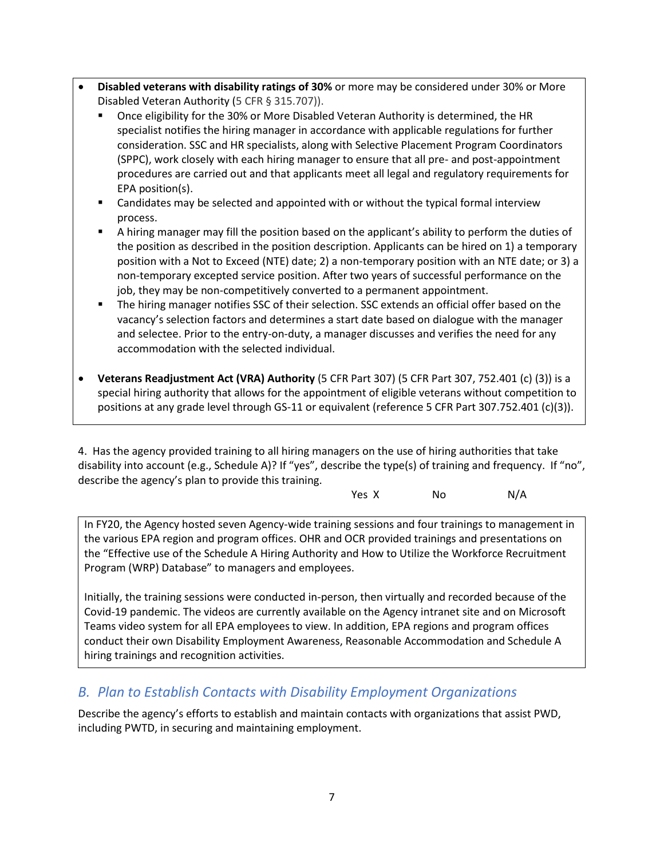- **Disabled veterans with disability ratings of 30%** or more may be considered under 30% or More Disabled Veteran Authority (5 CFR § 315.707)).
	- Once eligibility for the 30% or More Disabled Veteran Authority is determined, the HR specialist notifies the hiring manager in accordance with applicable regulations for further consideration. SSC and HR specialists, along with Selective Placement Program Coordinators (SPPC), work closely with each hiring manager to ensure that all pre- and post-appointment procedures are carried out and that applicants meet all legal and regulatory requirements for EPA position(s).
	- Candidates may be selected and appointed with or without the typical formal interview process.
	- A hiring manager may fill the position based on the applicant's ability to perform the duties of the position as described in the position description. Applicants can be hired on 1) a temporary position with a Not to Exceed (NTE) date; 2) a non-temporary position with an NTE date; or 3) a non-temporary excepted service position. After two years of successful performance on the job, they may be non-competitively converted to a permanent appointment.
	- The hiring manager notifies SSC of their selection. SSC extends an official offer based on the vacancy's selection factors and determines a start date based on dialogue with the manager and selectee. Prior to the entry-on-duty, a manager discusses and verifies the need for any accommodation with the selected individual.
- **Veterans Readjustment Act (VRA) Authority** (5 CFR Part 307) (5 CFR Part 307, 752.401 (c) (3)) is a special hiring authority that allows for the appointment of eligible veterans without competition to positions at any grade level through GS-11 or equivalent (reference 5 CFR Part 307.752.401 (c)(3)).

4. Has the agency provided training to all hiring managers on the use of hiring authorities that take disability into account (e.g., Schedule A)? If "yes", describe the type(s) of training and frequency. If "no", describe the agency's plan to provide this training.

| Yes X<br>No | N/A |
|-------------|-----|
|-------------|-----|

In FY20, the Agency hosted seven Agency-wide training sessions and four trainings to management in the various EPA region and program offices. OHR and OCR provided trainings and presentations on the "Effective use of the Schedule A Hiring Authority and How to Utilize the Workforce Recruitment Program (WRP) Database" to managers and employees.

Initially, the training sessions were conducted in-person, then virtually and recorded because of the Covid-19 pandemic. The videos are currently available on the Agency intranet site and on Microsoft Teams video system for all EPA employees to view. In addition, EPA regions and program offices conduct their own Disability Employment Awareness, Reasonable Accommodation and Schedule A hiring trainings and recognition activities.

# *B. Plan to Establish Contacts with Disability Employment Organizations*

Describe the agency's efforts to establish and maintain contacts with organizations that assist PWD, including PWTD, in securing and maintaining employment.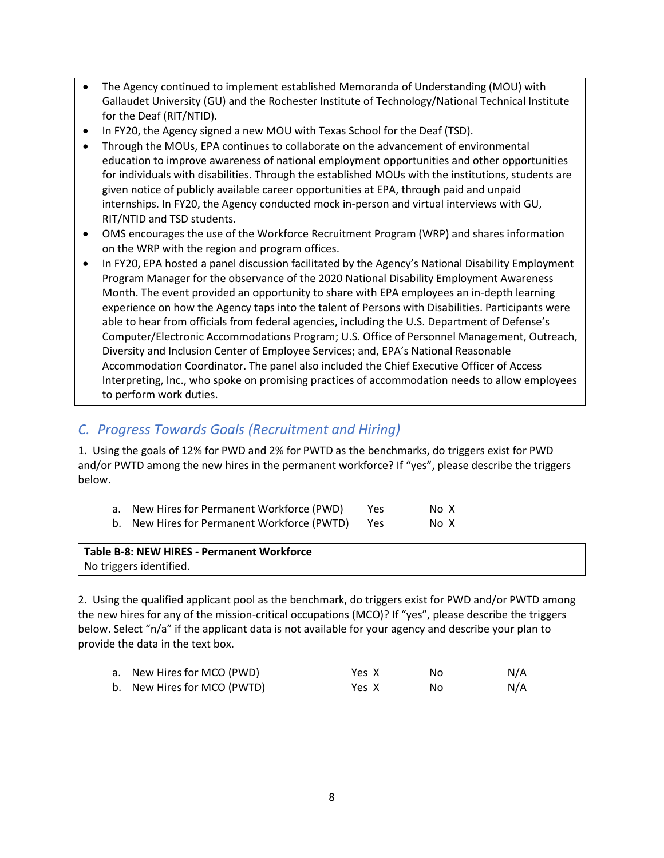- The Agency continued to implement established Memoranda of Understanding (MOU) with Gallaudet University (GU) and the Rochester Institute of Technology/National Technical Institute for the Deaf (RIT/NTID).
- In FY20, the Agency signed a new MOU with Texas School for the Deaf (TSD).
- Through the MOUs, EPA continues to collaborate on the advancement of environmental education to improve awareness of national employment opportunities and other opportunities for individuals with disabilities. Through the established MOUs with the institutions, students are given notice of publicly available career opportunities at EPA, through paid and unpaid internships. In FY20, the Agency conducted mock in-person and virtual interviews with GU, RIT/NTID and TSD students.
- OMS encourages the use of the Workforce Recruitment Program (WRP) and shares information on the WRP with the region and program offices.
- In FY20, EPA hosted a panel discussion facilitated by the Agency's National Disability Employment Program Manager for the observance of the 2020 National Disability Employment Awareness Month. The event provided an opportunity to share with EPA employees an in-depth learning experience on how the Agency taps into the talent of Persons with Disabilities. Participants were able to hear from officials from federal agencies, including the U.S. Department of Defense's Computer/Electronic Accommodations Program; U.S. Office of Personnel Management, Outreach, Diversity and Inclusion Center of Employee Services; and, EPA's National Reasonable Accommodation Coordinator. The panel also included the Chief Executive Officer of Access Interpreting, Inc., who spoke on promising practices of accommodation needs to allow employees to perform work duties.

## *C. Progress Towards Goals (Recruitment and Hiring)*

1. Using the goals of 12% for PWD and 2% for PWTD as the benchmarks, do triggers exist for PWD and/or PWTD among the new hires in the permanent workforce? If "yes", please describe the triggers below.

| a. New Hires for Permanent Workforce (PWD)  | Yes. | No X |
|---------------------------------------------|------|------|
| b. New Hires for Permanent Workforce (PWTD) | Yes  | No X |

| Table B-8: NEW HIRES - Permanent Workforce |  |
|--------------------------------------------|--|
| No triggers identified.                    |  |

2. Using the qualified applicant pool as the benchmark, do triggers exist for PWD and/or PWTD among the new hires for any of the mission-critical occupations (MCO)? If "yes", please describe the triggers below. Select "n/a" if the applicant data is not available for your agency and describe your plan to provide the data in the text box.

| a. New Hires for MCO (PWD)  | Yes X | NΩ | N/A |
|-----------------------------|-------|----|-----|
| b. New Hires for MCO (PWTD) | Yes X | Nο | N/A |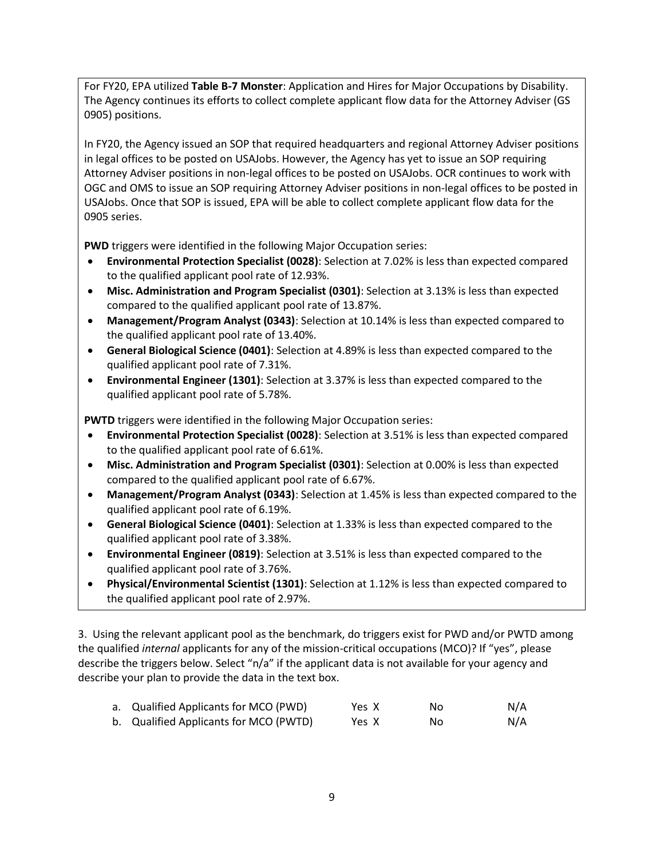For FY20, EPA utilized **Table B-7 Monster**: Application and Hires for Major Occupations by Disability. The Agency continues its efforts to collect complete applicant flow data for the Attorney Adviser (GS 0905) positions.

In FY20, the Agency issued an SOP that required headquarters and regional Attorney Adviser positions in legal offices to be posted on USAJobs. However, the Agency has yet to issue an SOP requiring Attorney Adviser positions in non-legal offices to be posted on USAJobs. OCR continues to work with OGC and OMS to issue an SOP requiring Attorney Adviser positions in non-legal offices to be posted in USAJobs. Once that SOP is issued, EPA will be able to collect complete applicant flow data for the 0905 series.

**PWD** triggers were identified in the following Major Occupation series:

- **Environmental Protection Specialist (0028)**: Selection at 7.02% is less than expected compared to the qualified applicant pool rate of 12.93%.
- **Misc. Administration and Program Specialist (0301)**: Selection at 3.13% is less than expected compared to the qualified applicant pool rate of 13.87%.
- **Management/Program Analyst (0343)**: Selection at 10.14% is less than expected compared to the qualified applicant pool rate of 13.40%.
- **General Biological Science (0401)**: Selection at 4.89% is less than expected compared to the qualified applicant pool rate of 7.31%.
- **Environmental Engineer (1301)**: Selection at 3.37% is less than expected compared to the qualified applicant pool rate of 5.78%.

**PWTD** triggers were identified in the following Major Occupation series:

- **Environmental Protection Specialist (0028)**: Selection at 3.51% is less than expected compared to the qualified applicant pool rate of 6.61%.
- **Misc. Administration and Program Specialist (0301)**: Selection at 0.00% is less than expected compared to the qualified applicant pool rate of 6.67%.
- **Management/Program Analyst (0343)**: Selection at 1.45% is less than expected compared to the qualified applicant pool rate of 6.19%.
- **General Biological Science (0401)**: Selection at 1.33% is less than expected compared to the qualified applicant pool rate of 3.38%.
- **Environmental Engineer (0819)**: Selection at 3.51% is less than expected compared to the qualified applicant pool rate of 3.76%.
- **Physical/Environmental Scientist (1301)**: Selection at 1.12% is less than expected compared to the qualified applicant pool rate of 2.97%.

3. Using the relevant applicant pool as the benchmark, do triggers exist for PWD and/or PWTD among the qualified *internal* applicants for any of the mission-critical occupations (MCO)? If "yes", please describe the triggers below. Select "n/a" if the applicant data is not available for your agency and describe your plan to provide the data in the text box.

| a. Qualified Applicants for MCO (PWD)  | Yes X | No | N/A |
|----------------------------------------|-------|----|-----|
| b. Qualified Applicants for MCO (PWTD) | Yes X | No | N/A |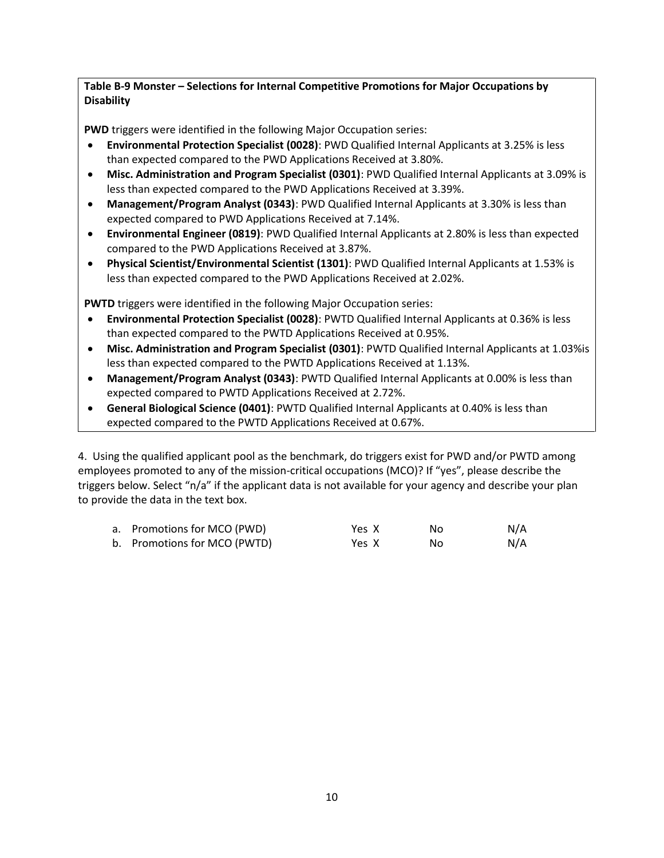#### **Table B-9 Monster – Selections for Internal Competitive Promotions for Major Occupations by Disability**

**PWD** triggers were identified in the following Major Occupation series:

- **Environmental Protection Specialist (0028)**: PWD Qualified Internal Applicants at 3.25% is less than expected compared to the PWD Applications Received at 3.80%.
- **Misc. Administration and Program Specialist (0301)**: PWD Qualified Internal Applicants at 3.09% is less than expected compared to the PWD Applications Received at 3.39%.
- **Management/Program Analyst (0343)**: PWD Qualified Internal Applicants at 3.30% is less than expected compared to PWD Applications Received at 7.14%.
- **Environmental Engineer (0819)**: PWD Qualified Internal Applicants at 2.80% is less than expected compared to the PWD Applications Received at 3.87%.
- **Physical Scientist/Environmental Scientist (1301)**: PWD Qualified Internal Applicants at 1.53% is less than expected compared to the PWD Applications Received at 2.02%.

**PWTD** triggers were identified in the following Major Occupation series:

- **Environmental Protection Specialist (0028)**: PWTD Qualified Internal Applicants at 0.36% is less than expected compared to the PWTD Applications Received at 0.95%.
- **Misc. Administration and Program Specialist (0301)**: PWTD Qualified Internal Applicants at 1.03%is less than expected compared to the PWTD Applications Received at 1.13%.
- **Management/Program Analyst (0343)**: PWTD Qualified Internal Applicants at 0.00% is less than expected compared to PWTD Applications Received at 2.72%.
- **General Biological Science (0401)**: PWTD Qualified Internal Applicants at 0.40% is less than expected compared to the PWTD Applications Received at 0.67%.

4. Using the qualified applicant pool as the benchmark, do triggers exist for PWD and/or PWTD among employees promoted to any of the mission-critical occupations (MCO)? If "yes", please describe the triggers below. Select "n/a" if the applicant data is not available for your agency and describe your plan to provide the data in the text box.

| a. Promotions for MCO (PWD)  | Yes X | Nο | N/A |
|------------------------------|-------|----|-----|
| b. Promotions for MCO (PWTD) | Yes X | Nο | N/A |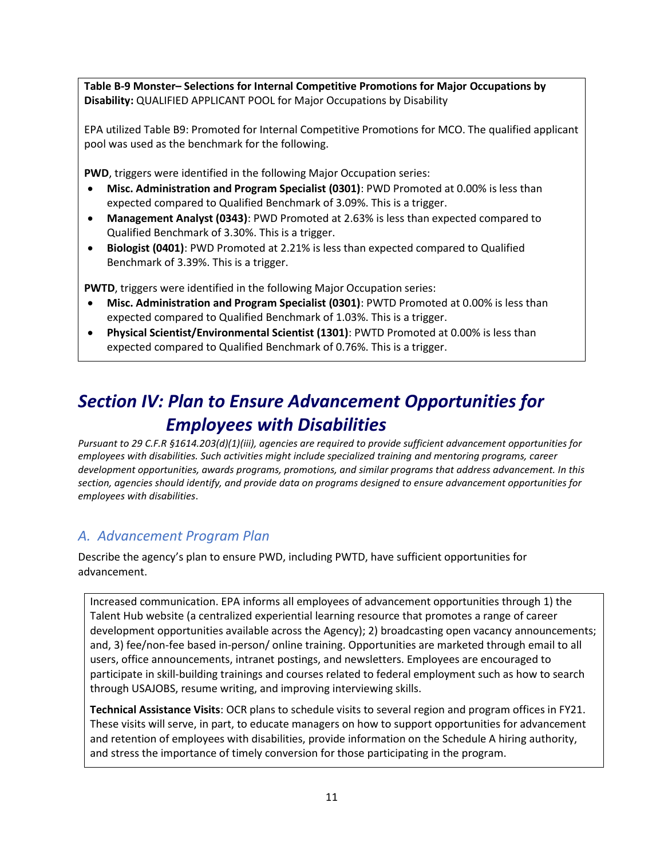**Table B-9 Monster– Selections for Internal Competitive Promotions for Major Occupations by Disability:** QUALIFIED APPLICANT POOL for Major Occupations by Disability

EPA utilized Table B9: Promoted for Internal Competitive Promotions for MCO. The qualified applicant pool was used as the benchmark for the following.

**PWD**, triggers were identified in the following Major Occupation series:

- **Misc. Administration and Program Specialist (0301)**: PWD Promoted at 0.00% is less than expected compared to Qualified Benchmark of 3.09%. This is a trigger.
- **Management Analyst (0343)**: PWD Promoted at 2.63% is less than expected compared to Qualified Benchmark of 3.30%. This is a trigger.
- **Biologist (0401)**: PWD Promoted at 2.21% is less than expected compared to Qualified Benchmark of 3.39%. This is a trigger.

**PWTD**, triggers were identified in the following Major Occupation series:

- **Misc. Administration and Program Specialist (0301)**: PWTD Promoted at 0.00% is less than expected compared to Qualified Benchmark of 1.03%. This is a trigger.
- **Physical Scientist/Environmental Scientist (1301)**: PWTD Promoted at 0.00% is less than expected compared to Qualified Benchmark of 0.76%. This is a trigger.

# *Section IV: Plan to Ensure Advancement Opportunities for Employees with Disabilities*

*Pursuant to 29 C.F.R §1614.203(d)(1)(iii), agencies are required to provide sufficient advancement opportunities for employees with disabilities. Such activities might include specialized training and mentoring programs, career development opportunities, awards programs, promotions, and similar programs that address advancement. In this section, agencies should identify, and provide data on programs designed to ensure advancement opportunities for employees with disabilities*.

### *A. Advancement Program Plan*

Describe the agency's plan to ensure PWD, including PWTD, have sufficient opportunities for advancement.

Increased communication. EPA informs all employees of advancement opportunities through 1) the Talent Hub website (a centralized experiential learning resource that promotes a range of career development opportunities available across the Agency); 2) broadcasting open vacancy announcements; and, 3) fee/non-fee based in-person/ online training. Opportunities are marketed through email to all users, office announcements, intranet postings, and newsletters. Employees are encouraged to participate in skill-building trainings and courses related to federal employment such as how to search through USAJOBS, resume writing, and improving interviewing skills.

**Technical Assistance Visits**: OCR plans to schedule visits to several region and program offices in FY21. These visits will serve, in part, to educate managers on how to support opportunities for advancement and retention of employees with disabilities, provide information on the Schedule A hiring authority, and stress the importance of timely conversion for those participating in the program.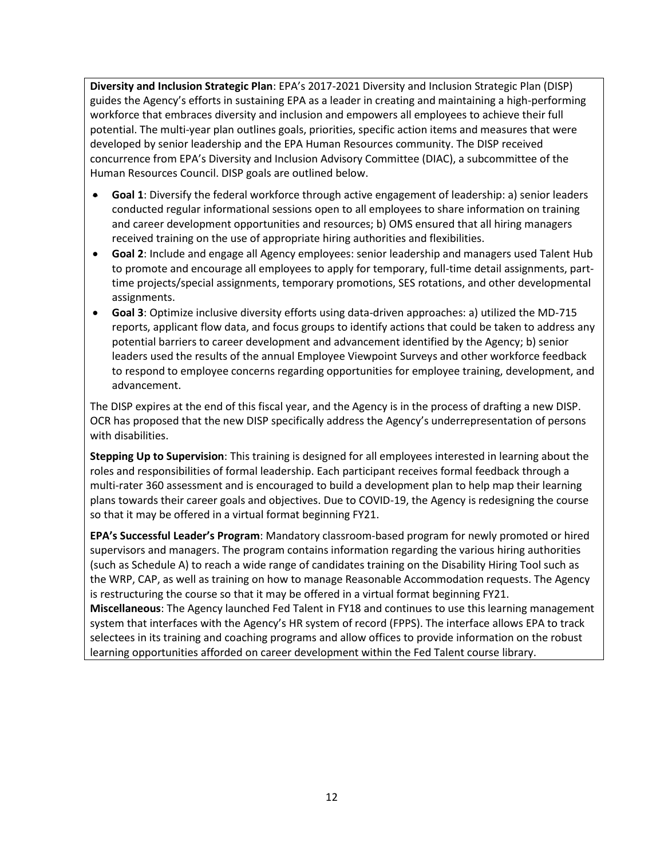**Diversity and Inclusion Strategic Plan**: EPA's 2017-2021 Diversity and Inclusion Strategic Plan (DISP) guides the Agency's efforts in sustaining EPA as a leader in creating and maintaining a high-performing workforce that embraces diversity and inclusion and empowers all employees to achieve their full potential. The multi-year plan outlines goals, priorities, specific action items and measures that were developed by senior leadership and the EPA Human Resources community. The DISP received concurrence from EPA's Diversity and Inclusion Advisory Committee (DIAC), a subcommittee of the Human Resources Council. DISP goals are outlined below.

- **Goal 1**: Diversify the federal workforce through active engagement of leadership: a) senior leaders conducted regular informational sessions open to all employees to share information on training and career development opportunities and resources; b) OMS ensured that all hiring managers received training on the use of appropriate hiring authorities and flexibilities.
- **Goal 2**: Include and engage all Agency employees: senior leadership and managers used Talent Hub to promote and encourage all employees to apply for temporary, full-time detail assignments, parttime projects/special assignments, temporary promotions, SES rotations, and other developmental assignments.
- **Goal 3**: Optimize inclusive diversity efforts using data-driven approaches: a) utilized the MD-715 reports, applicant flow data, and focus groups to identify actions that could be taken to address any potential barriers to career development and advancement identified by the Agency; b) senior leaders used the results of the annual Employee Viewpoint Surveys and other workforce feedback to respond to employee concerns regarding opportunities for employee training, development, and advancement.

The DISP expires at the end of this fiscal year, and the Agency is in the process of drafting a new DISP. OCR has proposed that the new DISP specifically address the Agency's underrepresentation of persons with disabilities.

**Stepping Up to Supervision**: This training is designed for all employees interested in learning about the roles and responsibilities of formal leadership. Each participant receives formal feedback through a multi-rater 360 assessment and is encouraged to build a development plan to help map their learning plans towards their career goals and objectives. Due to COVID-19, the Agency is redesigning the course so that it may be offered in a virtual format beginning FY21.

**EPA's Successful Leader's Program**: Mandatory classroom-based program for newly promoted or hired supervisors and managers. The program contains information regarding the various hiring authorities (such as Schedule A) to reach a wide range of candidates training on the Disability Hiring Tool such as the WRP, CAP, as well as training on how to manage Reasonable Accommodation requests. The Agency is restructuring the course so that it may be offered in a virtual format beginning FY21.

**Miscellaneous**: The Agency launched Fed Talent in FY18 and continues to use this learning management system that interfaces with the Agency's HR system of record (FPPS). The interface allows EPA to track selectees in its training and coaching programs and allow offices to provide information on the robust learning opportunities afforded on career development within the Fed Talent course library.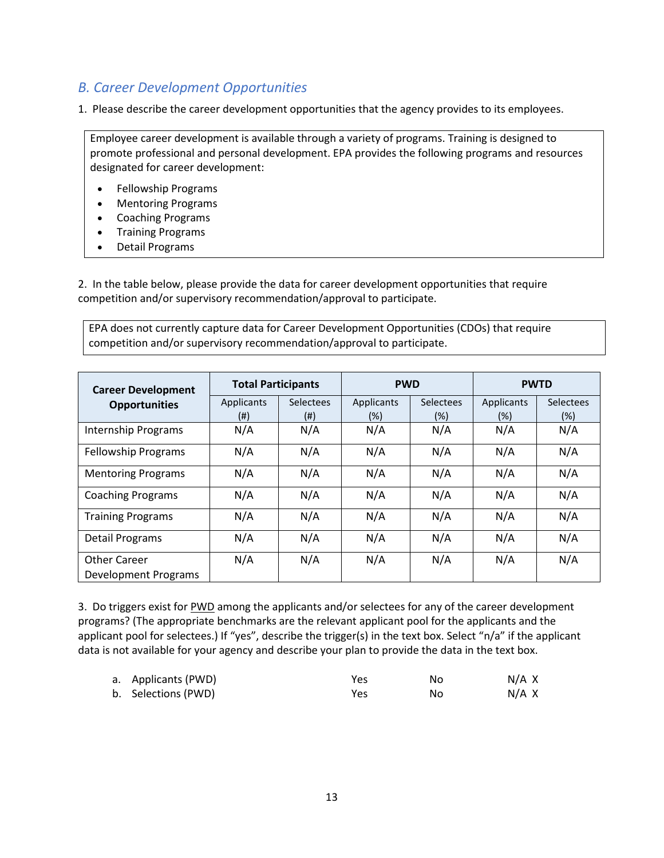### *B. Career Development Opportunities*

1. Please describe the career development opportunities that the agency provides to its employees.

Employee career development is available through a variety of programs. Training is designed to promote professional and personal development. EPA provides the following programs and resources designated for career development:

- Fellowship Programs
- Mentoring Programs
- Coaching Programs
- Training Programs
- Detail Programs

2. In the table below, please provide the data for career development opportunities that require competition and/or supervisory recommendation/approval to participate.

EPA does not currently capture data for Career Development Opportunities (CDOs) that require competition and/or supervisory recommendation/approval to participate.

| <b>Career Development</b>  | <b>Total Participants</b> |                  | <b>PWD</b> |                  | <b>PWTD</b> |           |
|----------------------------|---------------------------|------------------|------------|------------------|-------------|-----------|
| <b>Opportunities</b>       | Applicants                | <b>Selectees</b> | Applicants | <b>Selectees</b> | Applicants  | Selectees |
|                            | (# )                      | $^{(ii)}$        | $(\%)$     | (%)              | (%)         | (%)       |
| <b>Internship Programs</b> | N/A                       | N/A              | N/A        | N/A              | N/A         | N/A       |
| <b>Fellowship Programs</b> | N/A                       | N/A              | N/A        | N/A              | N/A         | N/A       |
| <b>Mentoring Programs</b>  | N/A                       | N/A              | N/A        | N/A              | N/A         | N/A       |
| <b>Coaching Programs</b>   | N/A                       | N/A              | N/A        | N/A              | N/A         | N/A       |
| <b>Training Programs</b>   | N/A                       | N/A              | N/A        | N/A              | N/A         | N/A       |
| <b>Detail Programs</b>     | N/A                       | N/A              | N/A        | N/A              | N/A         | N/A       |
| <b>Other Career</b>        | N/A                       | N/A              | N/A        | N/A              | N/A         | N/A       |
| Development Programs       |                           |                  |            |                  |             |           |

3. Do triggers exist for PWD among the applicants and/or selectees for any of the career development programs? (The appropriate benchmarks are the relevant applicant pool for the applicants and the applicant pool for selectees.) If "yes", describe the trigger(s) in the text box. Select "n/a" if the applicant data is not available for your agency and describe your plan to provide the data in the text box.

| a. Applicants (PWD) | Yes | Nο | N/A X |
|---------------------|-----|----|-------|
| b. Selections (PWD) | Yes | Nο | N/A X |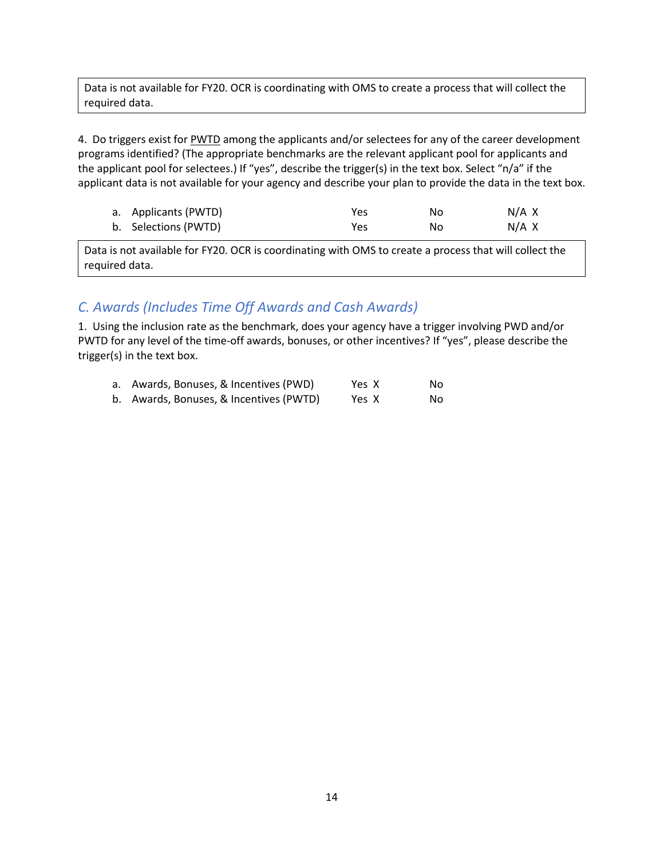Data is not available for FY20. OCR is coordinating with OMS to create a process that will collect the required data.

4. Do triggers exist for PWTD among the applicants and/or selectees for any of the career development programs identified? (The appropriate benchmarks are the relevant applicant pool for applicants and the applicant pool for selectees.) If "yes", describe the trigger(s) in the text box. Select "n/a" if the applicant data is not available for your agency and describe your plan to provide the data in the text box.

| a. Applicants (PWTD) | Yes | No. | N/A X |
|----------------------|-----|-----|-------|
| b. Selections (PWTD) | Yes | No. | N/A X |

Data is not available for FY20. OCR is coordinating with OMS to create a process that will collect the required data.

## *C. Awards (Includes Time Off Awards and Cash Awards)*

1. Using the inclusion rate as the benchmark, does your agency have a trigger involving PWD and/or PWTD for any level of the time-off awards, bonuses, or other incentives? If "yes", please describe the trigger(s) in the text box.

| a. Awards, Bonuses, & Incentives (PWD)  | Yes X | No. |
|-----------------------------------------|-------|-----|
| b. Awards, Bonuses, & Incentives (PWTD) | Yes X | No. |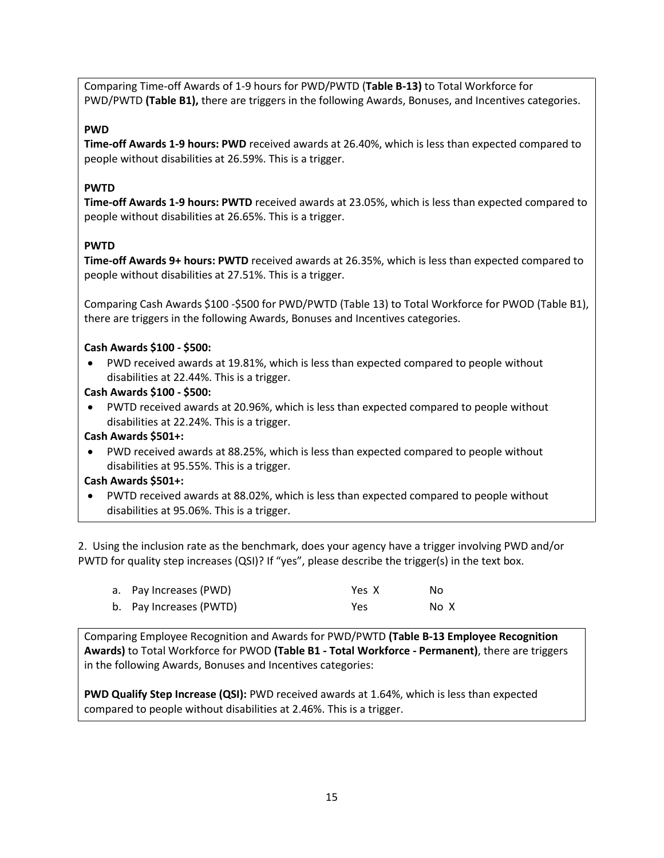Comparing Time-off Awards of 1-9 hours for PWD/PWTD (**Table B-13)** to Total Workforce for PWD/PWTD **(Table B1),** there are triggers in the following Awards, Bonuses, and Incentives categories.

#### **PWD**

**Time-off Awards 1-9 hours: PWD** received awards at 26.40%, which is less than expected compared to people without disabilities at 26.59%. This is a trigger.

#### **PWTD**

**Time-off Awards 1-9 hours: PWTD** received awards at 23.05%, which is less than expected compared to people without disabilities at 26.65%. This is a trigger.

#### **PWTD**

**Time-off Awards 9+ hours: PWTD** received awards at 26.35%, which is less than expected compared to people without disabilities at 27.51%. This is a trigger.

Comparing Cash Awards \$100 -\$500 for PWD/PWTD (Table 13) to Total Workforce for PWOD (Table B1), there are triggers in the following Awards, Bonuses and Incentives categories.

#### **Cash Awards \$100 - \$500:**

- PWD received awards at 19.81%, which is less than expected compared to people without disabilities at 22.44%. This is a trigger.
- **Cash Awards \$100 - \$500:**
- PWTD received awards at 20.96%, which is less than expected compared to people without disabilities at 22.24%. This is a trigger.

#### **Cash Awards \$501+:**

• PWD received awards at 88.25%, which is less than expected compared to people without disabilities at 95.55%. This is a trigger.

#### **Cash Awards \$501+:**

• PWTD received awards at 88.02%, which is less than expected compared to people without disabilities at 95.06%. This is a trigger.

2. Using the inclusion rate as the benchmark, does your agency have a trigger involving PWD and/or PWTD for quality step increases (QSI)? If "yes", please describe the trigger(s) in the text box.

| a. Pay Increases (PWD)  | Yes X | No.  |
|-------------------------|-------|------|
| b. Pay Increases (PWTD) | Yes   | No X |

Comparing Employee Recognition and Awards for PWD/PWTD **(Table B-13 Employee Recognition Awards)** to Total Workforce for PWOD **(Table B1 - Total Workforce - Permanent)**, there are triggers in the following Awards, Bonuses and Incentives categories:

**PWD Qualify Step Increase (QSI):** PWD received awards at 1.64%, which is less than expected compared to people without disabilities at 2.46%. This is a trigger.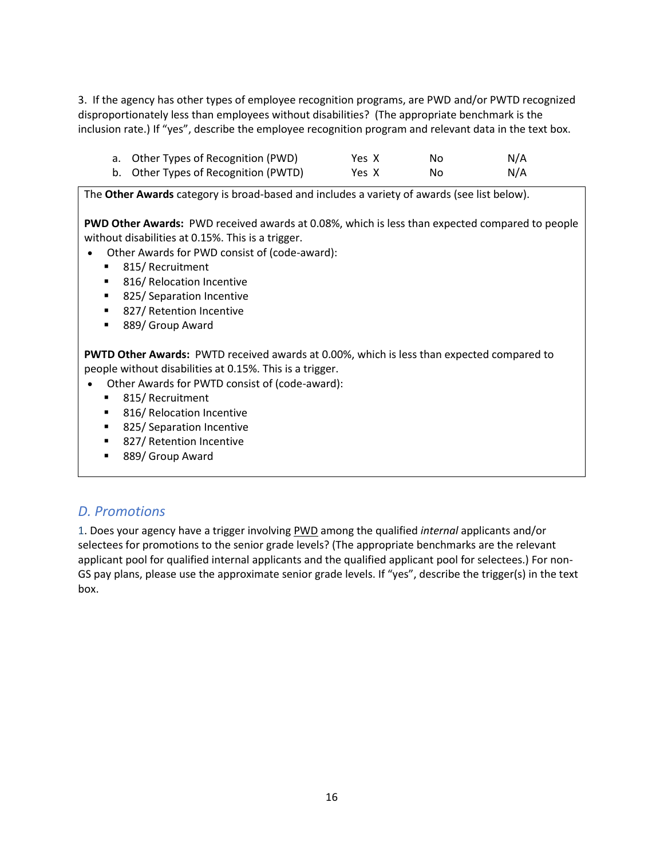3. If the agency has other types of employee recognition programs, are PWD and/or PWTD recognized disproportionately less than employees without disabilities? (The appropriate benchmark is the inclusion rate.) If "yes", describe the employee recognition program and relevant data in the text box.

| a. Other Types of Recognition (PWD)  | Yes X | Nο | N/A |
|--------------------------------------|-------|----|-----|
| b. Other Types of Recognition (PWTD) | Yes X | No | N/A |

The **Other Awards** category is broad-based and includes a variety of awards (see list below).

**PWD Other Awards:** PWD received awards at 0.08%, which is less than expected compared to people without disabilities at 0.15%. This is a trigger.

- Other Awards for PWD consist of (code-award):
	- 815/ Recruitment
	- 816/ Relocation Incentive
	- 825/ Separation Incentive
	- 827/ Retention Incentive
	- 889/ Group Award

**PWTD Other Awards:** PWTD received awards at 0.00%, which is less than expected compared to people without disabilities at 0.15%. This is a trigger.

- Other Awards for PWTD consist of (code-award):
	- 815/ Recruitment
	- 816/ Relocation Incentive
	- 825/ Separation Incentive
	- 827/ Retention Incentive
	- 889/ Group Award

#### *D. Promotions*

1. Does your agency have a trigger involving PWD among the qualified *internal* applicants and/or selectees for promotions to the senior grade levels? (The appropriate benchmarks are the relevant applicant pool for qualified internal applicants and the qualified applicant pool for selectees.) For non-GS pay plans, please use the approximate senior grade levels. If "yes", describe the trigger(s) in the text box.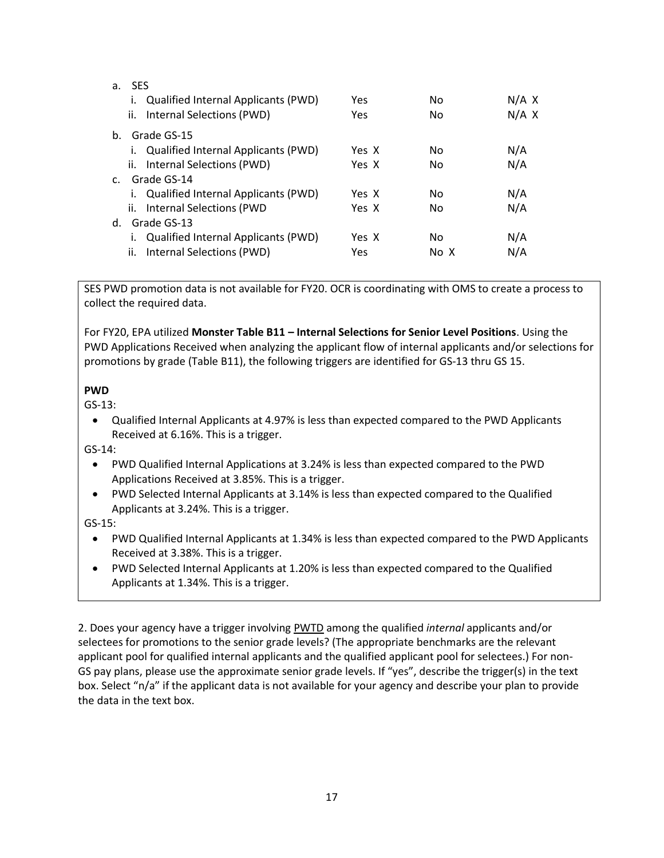| <b>SES</b>                                |       |      |       |
|-------------------------------------------|-------|------|-------|
| Qualified Internal Applicants (PWD)<br>Ι. | Yes   | No   | N/A X |
| Internal Selections (PWD)<br>ii.          | Yes   | No   | N/A X |
| Grade GS-15                               |       |      |       |
| Qualified Internal Applicants (PWD)<br>Τ. | Yes X | No   | N/A   |
| ii. Internal Selections (PWD)             | Yes X | No   | N/A   |
| Grade GS-14                               |       |      |       |
| Qualified Internal Applicants (PWD)<br>Τ. | Yes X | No   | N/A   |
| ii. Internal Selections (PWD              | Yes X | No   | N/A   |
| Grade GS-13                               |       |      |       |
| Qualified Internal Applicants (PWD)       | Yes X | No   | N/A   |
| ii.<br>Internal Selections (PWD)          | Yes   | No X | N/A   |
| $\mathsf{C}$ .                            | d.    |      |       |

SES PWD promotion data is not available for FY20. OCR is coordinating with OMS to create a process to collect the required data.

For FY20, EPA utilized **Monster Table B11 – Internal Selections for Senior Level Positions**. Using the PWD Applications Received when analyzing the applicant flow of internal applicants and/or selections for promotions by grade (Table B11), the following triggers are identified for GS-13 thru GS 15.

#### **PWD**

GS-13:

• Qualified Internal Applicants at 4.97% is less than expected compared to the PWD Applicants Received at 6.16%. This is a trigger.

GS-14:

- PWD Qualified Internal Applications at 3.24% is less than expected compared to the PWD Applications Received at 3.85%. This is a trigger.
- PWD Selected Internal Applicants at 3.14% is less than expected compared to the Qualified Applicants at 3.24%. This is a trigger.

GS-15:

- PWD Qualified Internal Applicants at 1.34% is less than expected compared to the PWD Applicants Received at 3.38%. This is a trigger.
- PWD Selected Internal Applicants at 1.20% is less than expected compared to the Qualified Applicants at 1.34%. This is a trigger.

2. Does your agency have a trigger involving PWTD among the qualified *internal* applicants and/or selectees for promotions to the senior grade levels? (The appropriate benchmarks are the relevant applicant pool for qualified internal applicants and the qualified applicant pool for selectees.) For non-GS pay plans, please use the approximate senior grade levels. If "yes", describe the trigger(s) in the text box. Select "n/a" if the applicant data is not available for your agency and describe your plan to provide the data in the text box.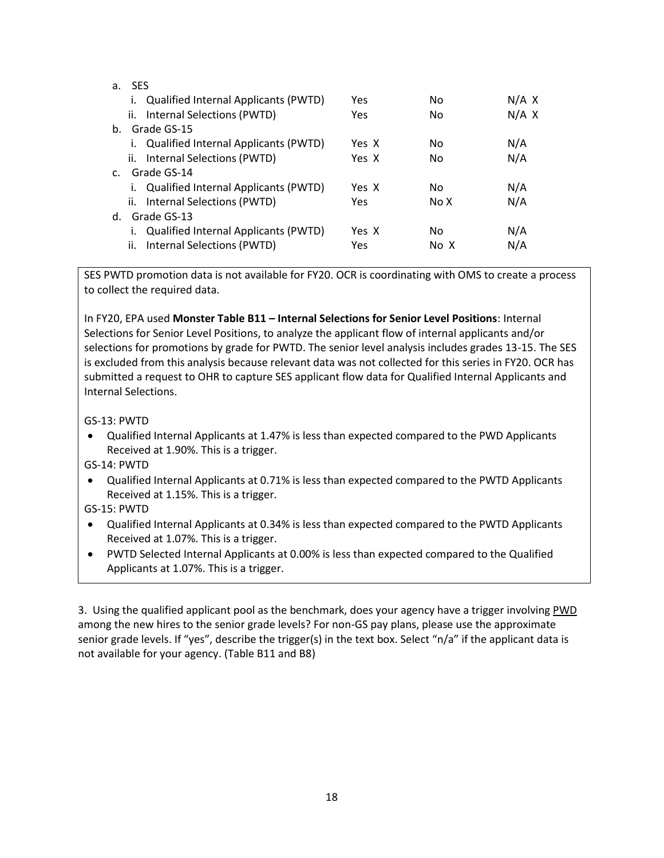| а.           | <b>SES</b>                                  |       |      |       |
|--------------|---------------------------------------------|-------|------|-------|
|              | Qualified Internal Applicants (PWTD)<br>Ι.  | Yes   | No   | N/A X |
|              | Internal Selections (PWTD)<br>ii.           | Yes   | No   | N/A X |
| $h_{-}$      | Grade GS-15                                 |       |      |       |
|              | Qualified Internal Applicants (PWTD)<br>Ι.  | Yes X | No   | N/A   |
|              | Internal Selections (PWTD)<br>ii.           | Yes X | No   | N/A   |
| $\mathbf{C}$ | Grade GS-14                                 |       |      |       |
|              | Qualified Internal Applicants (PWTD)<br>Ι.  | Yes X | No   | N/A   |
|              | ii. Internal Selections (PWTD)              | Yes   | No X | N/A   |
| d.           | Grade GS-13                                 |       |      |       |
|              | <b>Qualified Internal Applicants (PWTD)</b> | Yes X | No   | N/A   |
|              | ii.<br>Internal Selections (PWTD)           | Yes   | No X | N/A   |

SES PWTD promotion data is not available for FY20. OCR is coordinating with OMS to create a process to collect the required data.

In FY20, EPA used **Monster Table B11 – Internal Selections for Senior Level Positions**: Internal Selections for Senior Level Positions, to analyze the applicant flow of internal applicants and/or selections for promotions by grade for PWTD. The senior level analysis includes grades 13-15. The SES is excluded from this analysis because relevant data was not collected for this series in FY20. OCR has submitted a request to OHR to capture SES applicant flow data for Qualified Internal Applicants and Internal Selections.

#### GS-13: PWTD

• Qualified Internal Applicants at 1.47% is less than expected compared to the PWD Applicants Received at 1.90%. This is a trigger.

#### GS-14: PWTD

- Qualified Internal Applicants at 0.71% is less than expected compared to the PWTD Applicants Received at 1.15%. This is a trigger.
- GS-15: PWTD
- Qualified Internal Applicants at 0.34% is less than expected compared to the PWTD Applicants Received at 1.07%. This is a trigger.
- PWTD Selected Internal Applicants at 0.00% is less than expected compared to the Qualified Applicants at 1.07%. This is a trigger.

3. Using the qualified applicant pool as the benchmark, does your agency have a trigger involving PWD among the new hires to the senior grade levels? For non-GS pay plans, please use the approximate senior grade levels. If "yes", describe the trigger(s) in the text box. Select "n/a" if the applicant data is not available for your agency. (Table B11 and B8)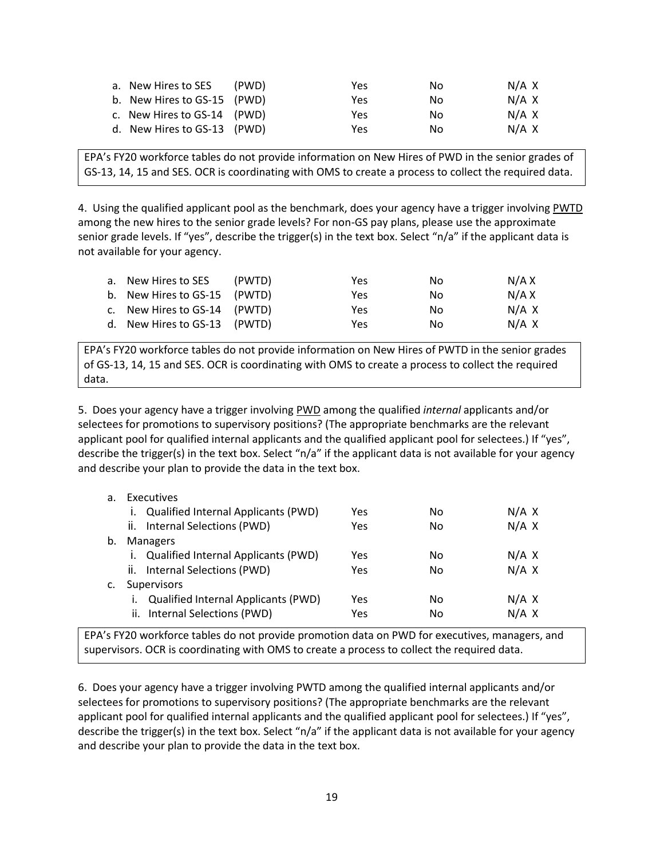| a. New Hires to SES         | (PWD) | Yes | No. | N/A X |
|-----------------------------|-------|-----|-----|-------|
| b. New Hires to GS-15 (PWD) |       | Yes | No. | N/A X |
| c. New Hires to GS-14 (PWD) |       | Yes | Nο  | N/A X |
| d. New Hires to GS-13 (PWD) |       | Yes | N٥  | N/A X |

EPA's FY20 workforce tables do not provide information on New Hires of PWD in the senior grades of GS-13, 14, 15 and SES. OCR is coordinating with OMS to create a process to collect the required data.

4. Using the qualified applicant pool as the benchmark, does your agency have a trigger involving **PWTD** among the new hires to the senior grade levels? For non-GS pay plans, please use the approximate senior grade levels. If "yes", describe the trigger(s) in the text box. Select "n/a" if the applicant data is not available for your agency.

| a. New Hires to SES          | (PWTD) | Yes | No. | N/A X |
|------------------------------|--------|-----|-----|-------|
| b. New Hires to GS-15 (PWTD) |        | Yes | No. | N/A X |
| c. New Hires to GS-14 (PWTD) |        | Yes | No. | N/A X |
| d. New Hires to GS-13 (PWTD) |        | Yes | No. | N/A X |

EPA's FY20 workforce tables do not provide information on New Hires of PWTD in the senior grades of GS-13, 14, 15 and SES. OCR is coordinating with OMS to create a process to collect the required data.

5. Does your agency have a trigger involving PWD among the qualified *internal* applicants and/or selectees for promotions to supervisory positions? (The appropriate benchmarks are the relevant applicant pool for qualified internal applicants and the qualified applicant pool for selectees.) If "yes", describe the trigger(s) in the text box. Select "n/a" if the applicant data is not available for your agency and describe your plan to provide the data in the text box.

| а. | Executives                                 |     |    |       |
|----|--------------------------------------------|-----|----|-------|
|    | <b>Qualified Internal Applicants (PWD)</b> | Yes | No | N/A X |
|    | ii. Internal Selections (PWD)              | Yes | No | N/A X |
| b. | <b>Managers</b>                            |     |    |       |
|    | i. Qualified Internal Applicants (PWD)     | Yes | No | N/A X |
|    | ii. Internal Selections (PWD)              | Yes | No | N/A X |
|    | Supervisors                                |     |    |       |
|    | <b>Qualified Internal Applicants (PWD)</b> | Yes | No | N/A X |
|    | ii. Internal Selections (PWD)              | Yes | No | N/A X |

EPA's FY20 workforce tables do not provide promotion data on PWD for executives, managers, and supervisors. OCR is coordinating with OMS to create a process to collect the required data.

6. Does your agency have a trigger involving PWTD among the qualified internal applicants and/or selectees for promotions to supervisory positions? (The appropriate benchmarks are the relevant applicant pool for qualified internal applicants and the qualified applicant pool for selectees.) If "yes", describe the trigger(s) in the text box. Select "n/a" if the applicant data is not available for your agency and describe your plan to provide the data in the text box.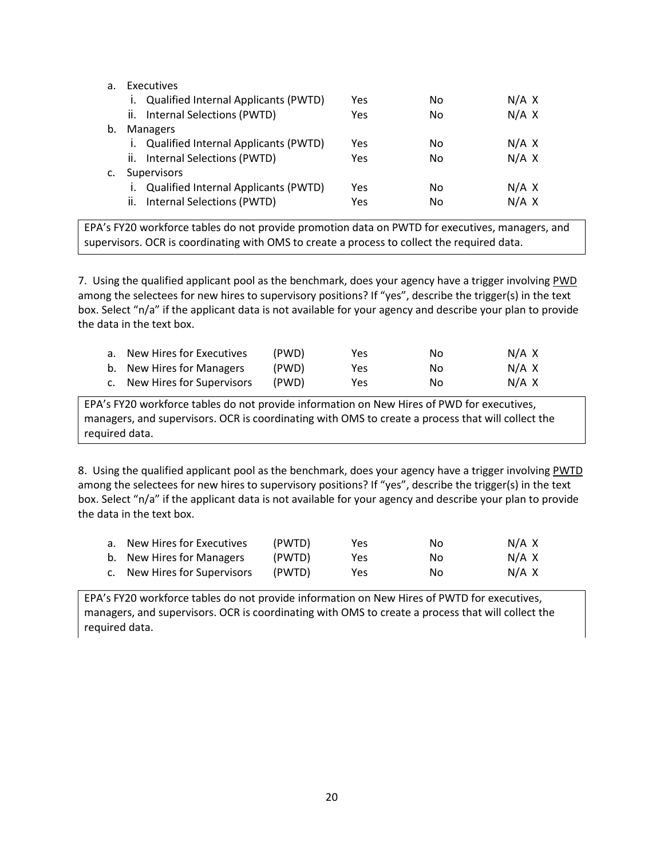| Executives<br>а. |                                                   |     |    |       |  |
|------------------|---------------------------------------------------|-----|----|-------|--|
|                  | <b>Qualified Internal Applicants (PWTD)</b><br>Ι. | Yes | No | N/A X |  |
|                  | ii. Internal Selections (PWTD)                    | Yes | No | N/A X |  |
| b.               | <b>Managers</b>                                   |     |    |       |  |
|                  | i. Qualified Internal Applicants (PWTD)           | Yes | No | N/A X |  |
|                  | ii. Internal Selections (PWTD)                    | Yes | No | N/A X |  |
|                  | <b>Supervisors</b>                                |     |    |       |  |
|                  | <b>Qualified Internal Applicants (PWTD)</b>       | Yes | No | N/A X |  |
|                  | Internal Selections (PWTD)<br>Ш.                  | Yes | No | N/A X |  |

EPA's FY20 workforce tables do not provide promotion data on PWTD for executives, managers, and supervisors. OCR is coordinating with OMS to create a process to collect the required data.

7. Using the qualified applicant pool as the benchmark, does your agency have a trigger involving PWD among the selectees for new hires to supervisory positions? If "yes", describe the trigger(s) in the text box. Select "n/a" if the applicant data is not available for your agency and describe your plan to provide the data in the text box.

| a. New Hires for Executives  | (PWD) | Yes  | Nο  | N/A X |
|------------------------------|-------|------|-----|-------|
| b. New Hires for Managers    | (PWD) | Yes. | No. | N/A X |
| c. New Hires for Supervisors | (PWD) | Yes  | Nο  | N/A X |

EPA's FY20 workforce tables do not provide information on New Hires of PWD for executives, managers, and supervisors. OCR is coordinating with OMS to create a process that will collect the required data.

8. Using the qualified applicant pool as the benchmark, does your agency have a trigger involving PWTD among the selectees for new hires to supervisory positions? If "yes", describe the trigger(s) in the text box. Select "n/a" if the applicant data is not available for your agency and describe your plan to provide the data in the text box.

| a. New Hires for Executives  | (PWTD) | Yes | No. | N/A X |
|------------------------------|--------|-----|-----|-------|
| b. New Hires for Managers    | (PWTD) | Yes | No. | N/A X |
| c. New Hires for Supervisors | (PWTD) | Yes | No. | N/A X |

EPA's FY20 workforce tables do not provide information on New Hires of PWTD for executives, managers, and supervisors. OCR is coordinating with OMS to create a process that will collect the required data.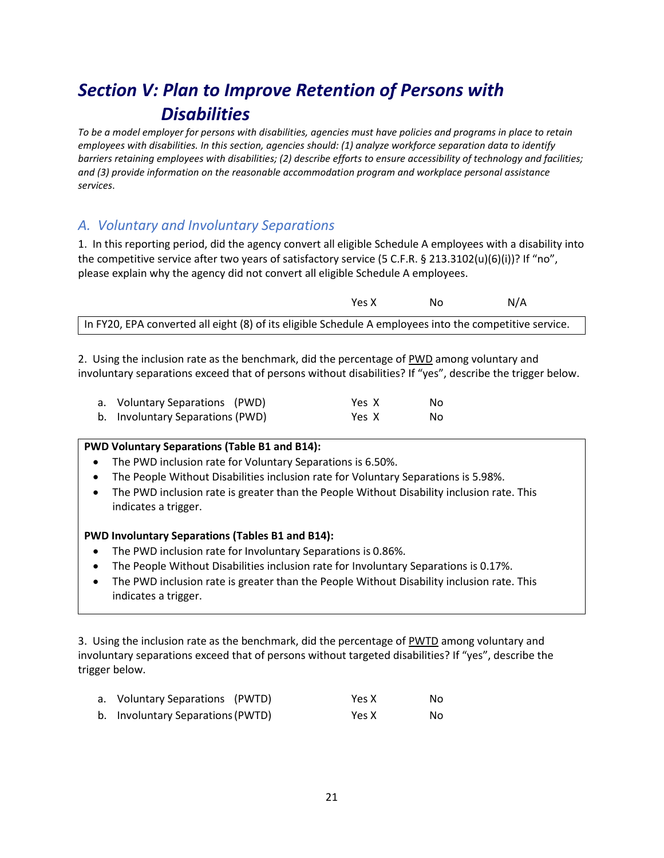# *Section V: Plan to Improve Retention of Persons with Disabilities*

*To be a model employer for persons with disabilities, agencies must have policies and programs in place to retain employees with disabilities. In this section, agencies should: (1) analyze workforce separation data to identify barriers retaining employees with disabilities; (2) describe efforts to ensure accessibility of technology and facilities; and (3) provide information on the reasonable accommodation program and workplace personal assistance services*.

# *A. Voluntary and Involuntary Separations*

1. In this reporting period, did the agency convert all eligible Schedule A employees with a disability into the competitive service after two years of satisfactory service (5 C.F.R. § 213.3102(u)(6)(i))? If "no", please explain why the agency did not convert all eligible Schedule A employees.

|                                                                                                         | Υρς Χ | Nο | N/A |
|---------------------------------------------------------------------------------------------------------|-------|----|-----|
| In FY20, EPA converted all eight (8) of its eligible Schedule A employees into the competitive service. |       |    |     |

2. Using the inclusion rate as the benchmark, did the percentage of PWD among voluntary and involuntary separations exceed that of persons without disabilities? If "yes", describe the trigger below.

| a. Voluntary Separations (PWD)   | Yes X | No. |
|----------------------------------|-------|-----|
| b. Involuntary Separations (PWD) | Yes X | No. |

#### **PWD Voluntary Separations (Table B1 and B14):**

- The PWD inclusion rate for Voluntary Separations is 6.50%.
- The People Without Disabilities inclusion rate for Voluntary Separations is 5.98%.
- The PWD inclusion rate is greater than the People Without Disability inclusion rate. This indicates a trigger.

#### **PWD Involuntary Separations (Tables B1 and B14):**

- The PWD inclusion rate for Involuntary Separations is 0.86%.
- The People Without Disabilities inclusion rate for Involuntary Separations is 0.17%.
- The PWD inclusion rate is greater than the People Without Disability inclusion rate. This indicates a trigger.

3. Using the inclusion rate as the benchmark, did the percentage of PWTD among voluntary and involuntary separations exceed that of persons without targeted disabilities? If "yes", describe the trigger below.

| a. Voluntary Separations (PWTD)   | Yes X | No. |
|-----------------------------------|-------|-----|
| b. Involuntary Separations (PWTD) | Yes X | No. |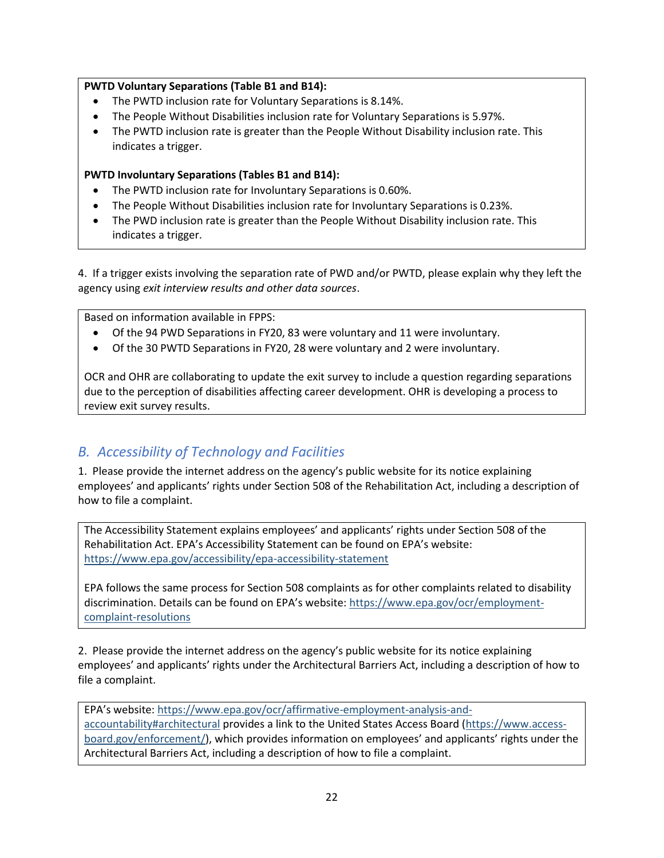#### **PWTD Voluntary Separations (Table B1 and B14):**

- The PWTD inclusion rate for Voluntary Separations is 8.14%.
- The People Without Disabilities inclusion rate for Voluntary Separations is 5.97%.
- The PWTD inclusion rate is greater than the People Without Disability inclusion rate. This indicates a trigger.

#### **PWTD Involuntary Separations (Tables B1 and B14):**

- The PWTD inclusion rate for Involuntary Separations is 0.60%.
- The People Without Disabilities inclusion rate for Involuntary Separations is 0.23%.
- The PWD inclusion rate is greater than the People Without Disability inclusion rate. This indicates a trigger.

4. If a trigger exists involving the separation rate of PWD and/or PWTD, please explain why they left the agency using *exit interview results and other data sources*.

Based on information available in FPPS:

- Of the 94 PWD Separations in FY20, 83 were voluntary and 11 were involuntary.
- Of the 30 PWTD Separations in FY20, 28 were voluntary and 2 were involuntary.

OCR and OHR are collaborating to update the exit survey to include a question regarding separations due to the perception of disabilities affecting career development. OHR is developing a process to review exit survey results.

# *B. Accessibility of Technology and Facilities*

1. Please provide the internet address on the agency's public website for its notice explaining employees' and applicants' rights under Section 508 of the Rehabilitation Act, including a description of how to file a complaint.

The Accessibility Statement explains employees' and applicants' rights under Section 508 of the Rehabilitation Act. EPA's Accessibility Statement can be found on EPA's website: <https://www.epa.gov/accessibility/epa-accessibility-statement>

EPA follows the same process for Section 508 complaints as for other complaints related to disability discrimination. Details can be found on EPA's website: [https://www.epa.gov/ocr/employment](https://www.epa.gov/ocr/employment-complaint-resolutions)[complaint-resolutions](https://www.epa.gov/ocr/employment-complaint-resolutions)

2. Please provide the internet address on the agency's public website for its notice explaining employees' and applicants' rights under the Architectural Barriers Act, including a description of how to file a complaint.

EPA's website: [https://www.epa.gov/ocr/affirmative-employment-analysis-and](https://www.epa.gov/ocr/affirmative-employment-analysis-and-accountability#architectural)[accountability#architectural](https://www.epa.gov/ocr/affirmative-employment-analysis-and-accountability#architectural) provides a link to the United States Access Board [\(https://www.access](https://www.access-board.gov/enforcement/)[board.gov/enforcement/\)](https://www.access-board.gov/enforcement/), which provides information on employees' and applicants' rights under the Architectural Barriers Act, including a description of how to file a complaint.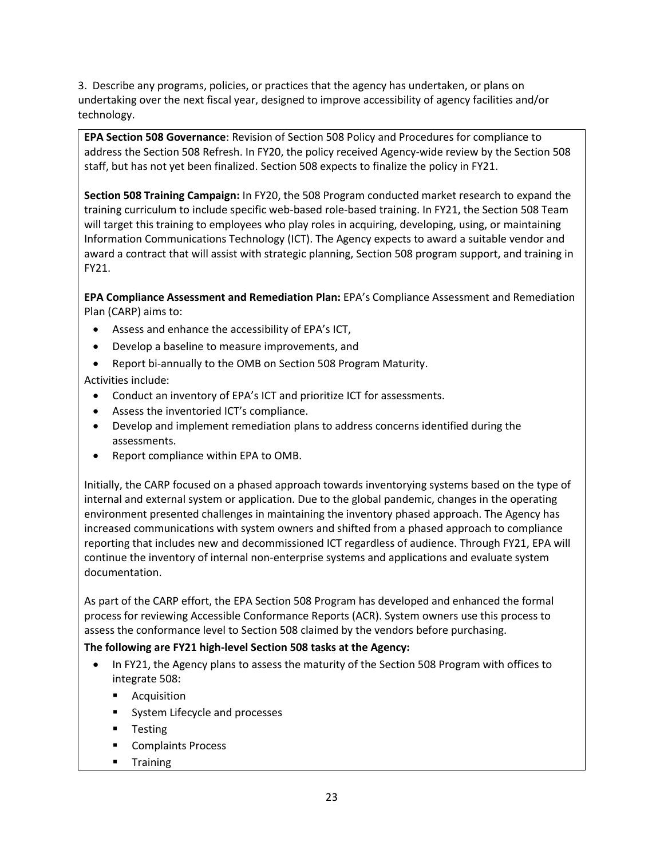3. Describe any programs, policies, or practices that the agency has undertaken, or plans on undertaking over the next fiscal year, designed to improve accessibility of agency facilities and/or technology.

**EPA Section 508 Governance**: Revision of Section 508 Policy and Procedures for compliance to address the Section 508 Refresh. In FY20, the policy received Agency-wide review by the Section 508 staff, but has not yet been finalized. Section 508 expects to finalize the policy in FY21.

**Section 508 Training Campaign:** In FY20, the 508 Program conducted market research to expand the training curriculum to include specific web-based role-based training. In FY21, the Section 508 Team will target this training to employees who play roles in acquiring, developing, using, or maintaining Information Communications Technology (ICT). The Agency expects to award a suitable vendor and award a contract that will assist with strategic planning, Section 508 program support, and training in FY21.

**EPA Compliance Assessment and Remediation Plan:** EPA's Compliance Assessment and Remediation Plan (CARP) aims to:

- Assess and enhance the accessibility of EPA's ICT,
- Develop a baseline to measure improvements, and
- Report bi-annually to the OMB on Section 508 Program Maturity.

Activities include:

- Conduct an inventory of EPA's ICT and prioritize ICT for assessments.
- Assess the inventoried ICT's compliance.
- Develop and implement remediation plans to address concerns identified during the assessments.
- Report compliance within EPA to OMB.

Initially, the CARP focused on a phased approach towards inventorying systems based on the type of internal and external system or application. Due to the global pandemic, changes in the operating environment presented challenges in maintaining the inventory phased approach. The Agency has increased communications with system owners and shifted from a phased approach to compliance reporting that includes new and decommissioned ICT regardless of audience. Through FY21, EPA will continue the inventory of internal non-enterprise systems and applications and evaluate system documentation.

As part of the CARP effort, the EPA Section 508 Program has developed and enhanced the formal process for reviewing Accessible Conformance Reports (ACR). System owners use this process to assess the conformance level to Section 508 claimed by the vendors before purchasing.

#### **The following are FY21 high-level Section 508 tasks at the Agency:**

- In FY21, the Agency plans to assess the maturity of the Section 508 Program with offices to integrate 508:
	- Acquisition
	- System Lifecycle and processes
	- Testing
	- Complaints Process
	- Training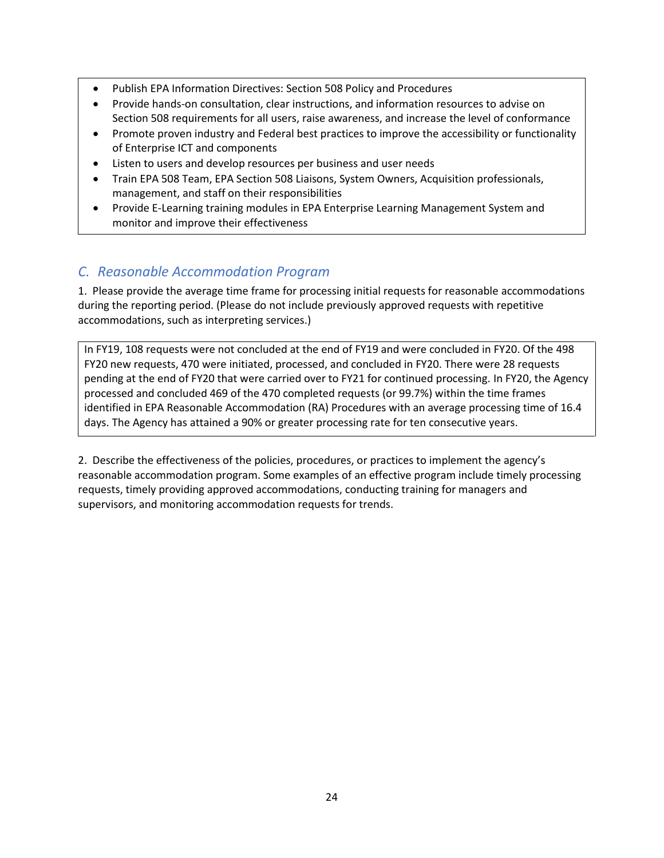- Publish EPA Information Directives: Section 508 Policy and Procedures
- Provide hands-on consultation, clear instructions, and information resources to advise on Section 508 requirements for all users, raise awareness, and increase the level of conformance
- Promote proven industry and Federal best practices to improve the accessibility or functionality of Enterprise ICT and components
- Listen to users and develop resources per business and user needs
- Train EPA 508 Team, EPA Section 508 Liaisons, System Owners, Acquisition professionals, management, and staff on their responsibilities
- Provide E-Learning training modules in EPA Enterprise Learning Management System and monitor and improve their effectiveness

# *C. Reasonable Accommodation Program*

1. Please provide the average time frame for processing initial requests for reasonable accommodations during the reporting period. (Please do not include previously approved requests with repetitive accommodations, such as interpreting services.)

In FY19, 108 requests were not concluded at the end of FY19 and were concluded in FY20. Of the 498 FY20 new requests, 470 were initiated, processed, and concluded in FY20. There were 28 requests pending at the end of FY20 that were carried over to FY21 for continued processing. In FY20, the Agency processed and concluded 469 of the 470 completed requests (or 99.7%) within the time frames identified in EPA Reasonable Accommodation (RA) Procedures with an average processing time of 16.4 days. The Agency has attained a 90% or greater processing rate for ten consecutive years.

2. Describe the effectiveness of the policies, procedures, or practices to implement the agency's reasonable accommodation program. Some examples of an effective program include timely processing requests, timely providing approved accommodations, conducting training for managers and supervisors, and monitoring accommodation requests for trends.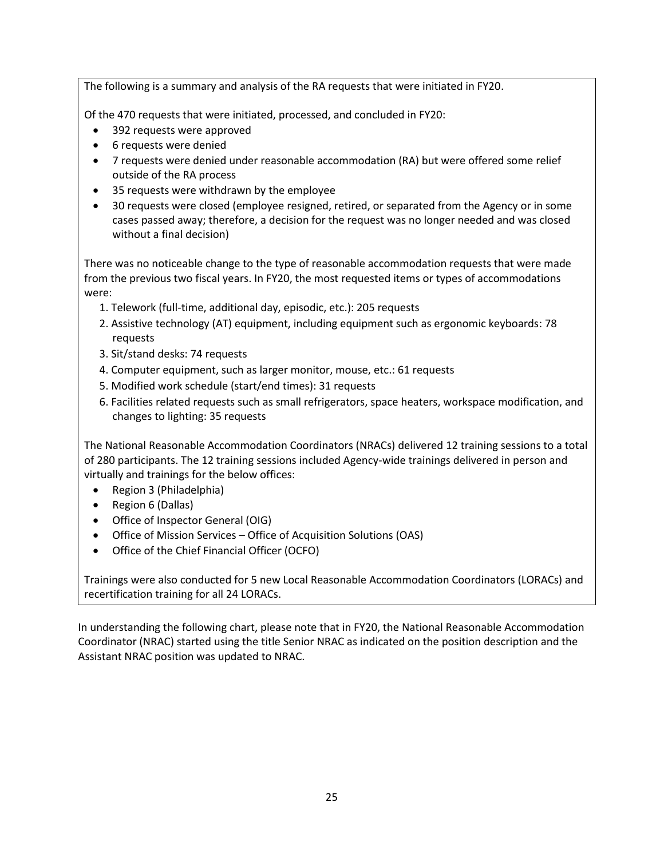The following is a summary and analysis of the RA requests that were initiated in FY20.

Of the 470 requests that were initiated, processed, and concluded in FY20:

- 392 requests were approved
- 6 requests were denied
- 7 requests were denied under reasonable accommodation (RA) but were offered some relief outside of the RA process
- 35 requests were withdrawn by the employee
- 30 requests were closed (employee resigned, retired, or separated from the Agency or in some cases passed away; therefore, a decision for the request was no longer needed and was closed without a final decision)

There was no noticeable change to the type of reasonable accommodation requests that were made from the previous two fiscal years. In FY20, the most requested items or types of accommodations were:

- 1. Telework (full-time, additional day, episodic, etc.): 205 requests
- 2. Assistive technology (AT) equipment, including equipment such as ergonomic keyboards: 78 requests
- 3. Sit/stand desks: 74 requests
- 4. Computer equipment, such as larger monitor, mouse, etc.: 61 requests
- 5. Modified work schedule (start/end times): 31 requests
- 6. Facilities related requests such as small refrigerators, space heaters, workspace modification, and changes to lighting: 35 requests

The National Reasonable Accommodation Coordinators (NRACs) delivered 12 training sessions to a total of 280 participants. The 12 training sessions included Agency-wide trainings delivered in person and virtually and trainings for the below offices:

- Region 3 (Philadelphia)
- Region 6 (Dallas)
- Office of Inspector General (OIG)
- Office of Mission Services Office of Acquisition Solutions (OAS)
- Office of the Chief Financial Officer (OCFO)

Trainings were also conducted for 5 new Local Reasonable Accommodation Coordinators (LORACs) and recertification training for all 24 LORACs.

In understanding the following chart, please note that in FY20, the National Reasonable Accommodation Coordinator (NRAC) started using the title Senior NRAC as indicated on the position description and the Assistant NRAC position was updated to NRAC.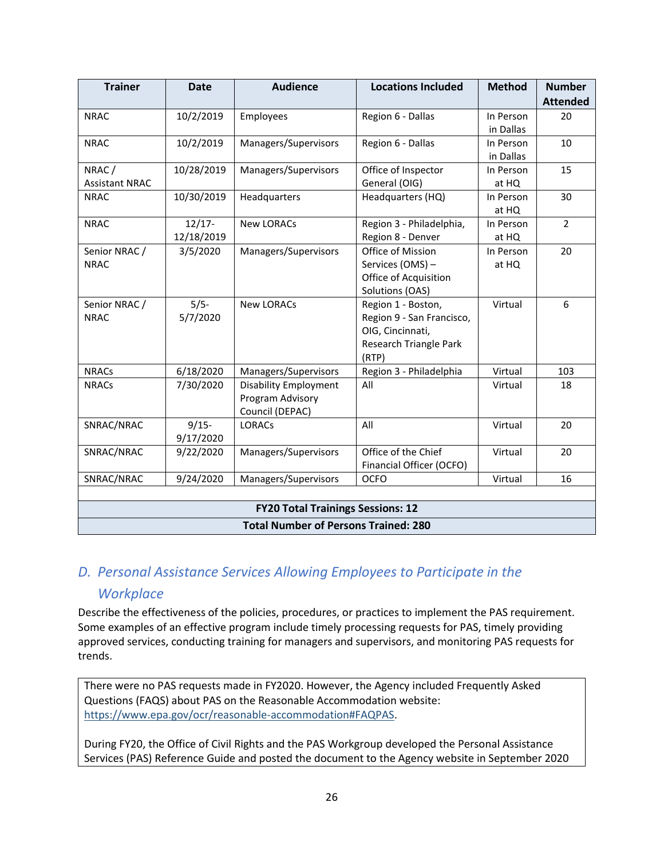| <b>Trainer</b>                              | <b>Date</b>             | <b>Audience</b>                                                     | <b>Locations Included</b>                                                                              | <b>Method</b>          | <b>Number</b><br><b>Attended</b> |  |
|---------------------------------------------|-------------------------|---------------------------------------------------------------------|--------------------------------------------------------------------------------------------------------|------------------------|----------------------------------|--|
| <b>NRAC</b>                                 | 10/2/2019               | Employees                                                           | Region 6 - Dallas                                                                                      | In Person<br>in Dallas | 20                               |  |
| <b>NRAC</b>                                 | 10/2/2019               | Managers/Supervisors                                                | Region 6 - Dallas                                                                                      | In Person<br>in Dallas | 10                               |  |
| NRAC/<br><b>Assistant NRAC</b>              | 10/28/2019              | Managers/Supervisors                                                | Office of Inspector<br>General (OIG)                                                                   | In Person<br>at HQ     | 15                               |  |
| <b>NRAC</b>                                 | 10/30/2019              | Headquarters                                                        | Headquarters (HQ)                                                                                      | In Person<br>at HQ     | 30                               |  |
| <b>NRAC</b>                                 | $12/17 -$<br>12/18/2019 | <b>New LORACs</b>                                                   | Region 3 - Philadelphia,<br>Region 8 - Denver                                                          | In Person<br>at HQ     | $\overline{2}$                   |  |
| Senior NRAC /<br><b>NRAC</b>                | 3/5/2020                | Managers/Supervisors                                                | Office of Mission<br>Services (OMS) -<br>Office of Acquisition<br>Solutions (OAS)                      | In Person<br>at HQ     | 20                               |  |
| Senior NRAC /<br><b>NRAC</b>                | $5/5 -$<br>5/7/2020     | <b>New LORACs</b>                                                   | Region 1 - Boston,<br>Region 9 - San Francisco,<br>OIG, Cincinnati,<br>Research Triangle Park<br>(RTP) | Virtual                | 6                                |  |
| <b>NRACs</b>                                | 6/18/2020               | Managers/Supervisors                                                | Region 3 - Philadelphia                                                                                | Virtual                | 103                              |  |
| <b>NRACs</b>                                | 7/30/2020               | <b>Disability Employment</b><br>Program Advisory<br>Council (DEPAC) | All                                                                                                    | Virtual                | 18                               |  |
| SNRAC/NRAC                                  | $9/15 -$<br>9/17/2020   | <b>LORACS</b>                                                       | All                                                                                                    | Virtual                | 20                               |  |
| SNRAC/NRAC                                  | 9/22/2020               | Managers/Supervisors                                                | Office of the Chief<br>Financial Officer (OCFO)                                                        | Virtual                | 20                               |  |
| SNRAC/NRAC                                  | 9/24/2020               | Managers/Supervisors                                                | <b>OCFO</b>                                                                                            | Virtual                | 16                               |  |
|                                             |                         | <b>FY20 Total Trainings Sessions: 12</b>                            |                                                                                                        |                        |                                  |  |
| <b>Total Number of Persons Trained: 280</b> |                         |                                                                     |                                                                                                        |                        |                                  |  |

# *D. Personal Assistance Services Allowing Employees to Participate in the*

#### *Workplace*

Describe the effectiveness of the policies, procedures, or practices to implement the PAS requirement. Some examples of an effective program include timely processing requests for PAS, timely providing approved services, conducting training for managers and supervisors, and monitoring PAS requests for trends.

There were no PAS requests made in FY2020. However, the Agency included Frequently Asked Questions (FAQS) about PAS on the Reasonable Accommodation website: [https://www.epa.gov/ocr/reasonable-accommodation#FAQPAS.](https://www.epa.gov/ocr/reasonable-accommodation#FAQPAS)

During FY20, the Office of Civil Rights and the PAS Workgroup developed the Personal Assistance Services (PAS) Reference Guide and posted the document to the Agency website in September 2020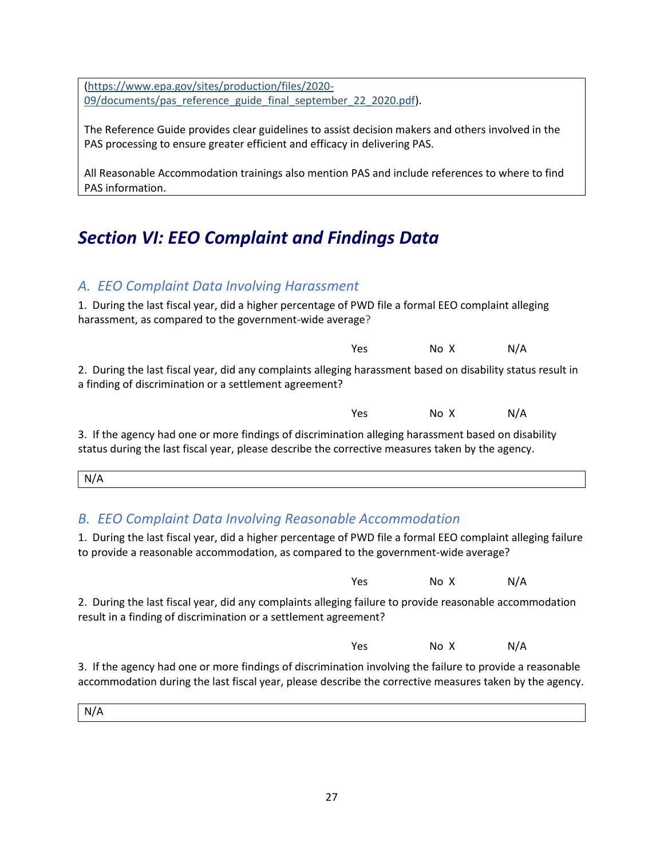[\(https://www.epa.gov/sites/production/files/2020-](https://www.epa.gov/sites/production/files/2020-09/documents/pas_reference_guide_final_september_22_2020.pdf) [09/documents/pas\\_reference\\_guide\\_final\\_september\\_22\\_2020.pdf\)](https://www.epa.gov/sites/production/files/2020-09/documents/pas_reference_guide_final_september_22_2020.pdf).

The Reference Guide provides clear guidelines to assist decision makers and others involved in the PAS processing to ensure greater efficient and efficacy in delivering PAS.

All Reasonable Accommodation trainings also mention PAS and include references to where to find PAS information.

# *Section VI: EEO Complaint and Findings Data*

## *A. EEO Complaint Data Involving Harassment*

1. During the last fiscal year, did a higher percentage of PWD file a formal EEO complaint alleging harassment, as compared to the government-wide average?

2. During the last fiscal year, did any complaints alleging harassment based on disability status result in a finding of discrimination or a settlement agreement?

| Yes | No X | N/A |
|-----|------|-----|
|     |      |     |

Yes No X N/A

3. If the agency had one or more findings of discrimination alleging harassment based on disability status during the last fiscal year, please describe the corrective measures taken by the agency.

| N/A |  |
|-----|--|
|     |  |

# *B. EEO Complaint Data Involving Reasonable Accommodation*

1. During the last fiscal year, did a higher percentage of PWD file a formal EEO complaint alleging failure to provide a reasonable accommodation, as compared to the government-wide average?

|                                                                                                                                                                                                                      | Yes | No X | N/A |  |
|----------------------------------------------------------------------------------------------------------------------------------------------------------------------------------------------------------------------|-----|------|-----|--|
| 2. During the last fiscal year, did any complaints alleging failure to provide reasonable accommodation<br>result in a finding of discrimination or a settlement agreement?                                          |     |      |     |  |
|                                                                                                                                                                                                                      | Yes | No X | N/A |  |
| 3. If the agency had one or more findings of discrimination involving the failure to provide a reasonable<br>accommodation during the last fiscal year, please describe the corrective measures taken by the agency. |     |      |     |  |

N/A